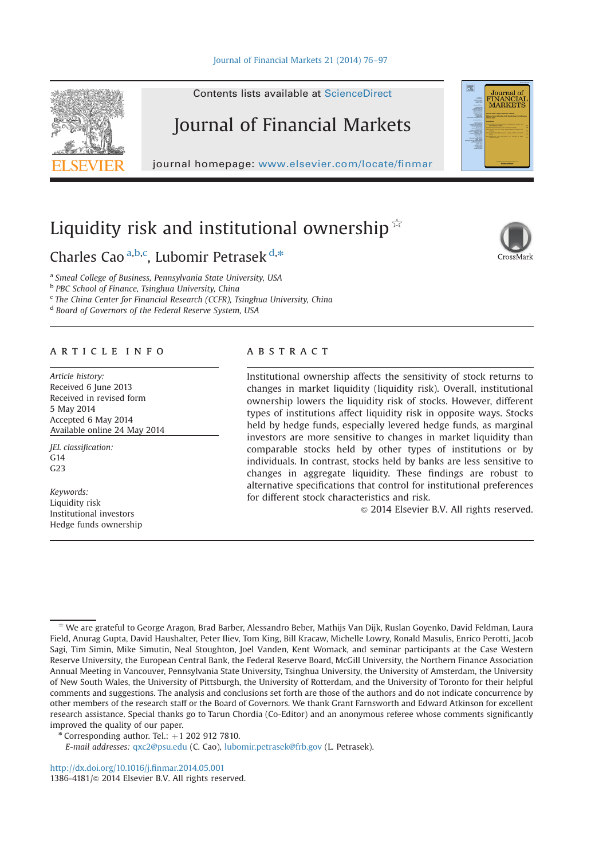

Contents lists available at ScienceDirect

## Journal of Financial Markets

 $j$ 

# Liquidity risk and institutional ownership  $\overline{p}$

## Charles Cao <sup>a,b,c</sup>, Lubomir Petrasek <sup>d,\*</sup>

<sup>a</sup> Smeal College of Business, Pennsylvania State University, USA

**b** PBC School of Finance, Tsinghua University, China

<sup>c</sup> The China Center for Financial Research (CCFR), Tsinghua University, China

<sup>d</sup> Board of Governors of the Federal Reserve System, USA

## article info

Article history: Received 6 June 2013 Received in revised form 5 May 2014 Accepted 6 May 2014 Available online 24 May 2014

JEL classification: G14 G23

Keywords: Liquidity risk Institutional investors Hedge funds ownership

## **ABSTRACT**

Institutional ownership affects the sensitivity of stock returns to changes in market liquidity (liquidity risk). Overall, institutional ownership lowers the liquidity risk of stocks. However, different types of institutions affect liquidity risk in opposite ways. Stocks held by hedge funds, especially levered hedge funds, as marginal investors are more sensitive to changes in market liquidity than comparable stocks held by other types of institutions or by individuals. In contrast, stocks held by banks are less sensitive to changes in aggregate liquidity. These findings are robust to alternative specifications that control for institutional preferences for different stock characteristics and risk.

 $\odot$  2014 Elsevier B.V. All rights reserved.

E-mail addresses: [qxc2@psu.edu](mailto:qxc2@psu.edu) (C. Cao), [lubomir.petrasek@frb.gov](mailto:lubomir.petrasek@frb.gov) (L. Petrasek).



**MARKETS** 

壓

de la

We are grateful to George Aragon, Brad Barber, Alessandro Beber, Mathijs Van Dijk, Ruslan Goyenko, David Feldman, Laura Field, Anurag Gupta, David Haushalter, Peter Iliev, Tom King, Bill Kracaw, Michelle Lowry, Ronald Masulis, Enrico Perotti, Jacob Sagi, Tim Simin, Mike Simutin, Neal Stoughton, Joel Vanden, Kent Womack, and seminar participants at the Case Western Reserve University, the European Central Bank, the Federal Reserve Board, McGill University, the Northern Finance Association Annual Meeting in Vancouver, Pennsylvania State University, Tsinghua University, the University of Amsterdam, the University of New South Wales, the University of Pittsburgh, the University of Rotterdam, and the University of Toronto for their helpful comments and suggestions. The analysis and conclusions set forth are those of the authors and do not indicate concurrence by other members of the research staff or the Board of Governors. We thank Grant Farnsworth and Edward Atkinson for excellent research assistance. Special thanks go to Tarun Chordia (Co-Editor) and an anonymous referee whose comments significantly improved the quality of our paper.

 $*$  Corresponding author. Tel.:  $+1$  202 912 7810.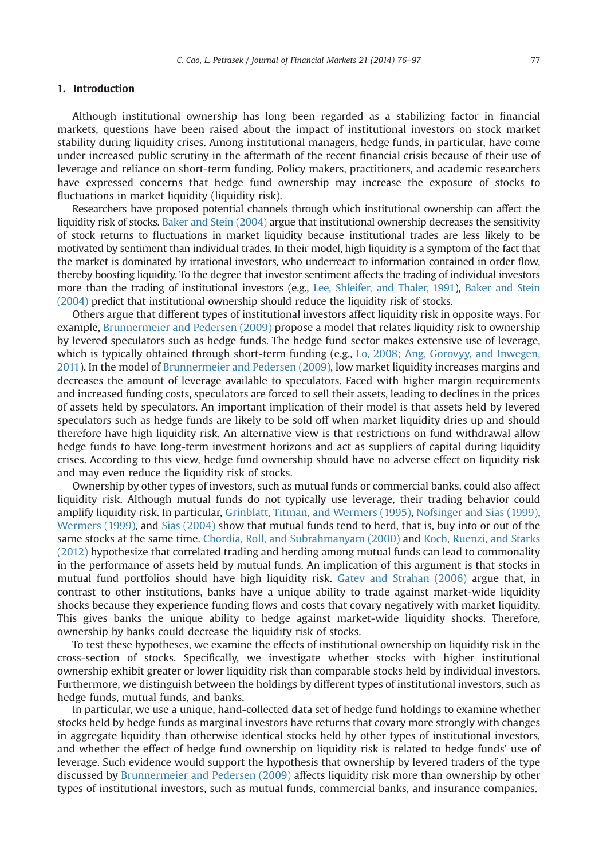## 1. Introduction

Although institutional ownership has long been regarded as a stabilizing factor in financial markets, questions have been raised about the impact of institutional investors on stock market stability during liquidity crises. Among institutional managers, hedge funds, in particular, have come under increased public scrutiny in the aftermath of the recent financial crisis because of their use of leverage and reliance on short-term funding. Policy makers, practitioners, and academic researchers have expressed concerns that hedge fund ownership may increase the exposure of stocks to fluctuations in market liquidity (liquidity risk).

Researchers have proposed potential channels through which institutional ownership can affect the liquidity risk of stocks. [Baker and Stein \(2004\)](#page-21-0) argue that institutional ownership decreases the sensitivity of stock returns to fluctuations in market liquidity because institutional trades are less likely to be motivated by sentiment than individual trades. In their model, high liquidity is a symptom of the fact that the market is dominated by irrational investors, who underreact to information contained in order flow, thereby boosting liquidity. To the degree that investor sentiment affects the trading of individual investors more than the trading of institutional investors (e.g., [Lee, Shleifer, and Thaler, 1991](#page-21-0)), [Baker and Stein](#page-21-0) [\(2004\)](#page-21-0) predict that institutional ownership should reduce the liquidity risk of stocks.

Others argue that different types of institutional investors affect liquidity risk in opposite ways. For example, [Brunnermeier and Pedersen \(2009\)](#page-21-0) propose a model that relates liquidity risk to ownership by levered speculators such as hedge funds. The hedge fund sector makes extensive use of leverage, which is typically obtained through short-term funding (e.g., [Lo, 2008; Ang, Gorovyy, and Inwegen,](#page-21-0) [2011](#page-21-0)). In the model of [Brunnermeier and Pedersen \(2009\),](#page-21-0) low market liquidity increases margins and decreases the amount of leverage available to speculators. Faced with higher margin requirements and increased funding costs, speculators are forced to sell their assets, leading to declines in the prices of assets held by speculators. An important implication of their model is that assets held by levered speculators such as hedge funds are likely to be sold off when market liquidity dries up and should therefore have high liquidity risk. An alternative view is that restrictions on fund withdrawal allow hedge funds to have long-term investment horizons and act as suppliers of capital during liquidity crises. According to this view, hedge fund ownership should have no adverse effect on liquidity risk and may even reduce the liquidity risk of stocks.

Ownership by other types of investors, such as mutual funds or commercial banks, could also affect liquidity risk. Although mutual funds do not typically use leverage, their trading behavior could amplify liquidity risk. In particular, [Grinblatt, Titman, and Wermers \(1995\),](#page-21-0) [Nofsinger and Sias \(1999\)](#page-21-0), [Wermers \(1999\)](#page-21-0), and [Sias \(2004\)](#page-21-0) show that mutual funds tend to herd, that is, buy into or out of the same stocks at the same time. [Chordia, Roll, and Subrahmanyam \(2000\)](#page-21-0) and [Koch, Ruenzi, and Starks](#page-21-0) [\(2012\)](#page-21-0) hypothesize that correlated trading and herding among mutual funds can lead to commonality in the performance of assets held by mutual funds. An implication of this argument is that stocks in mutual fund portfolios should have high liquidity risk. [Gatev and Strahan \(2006\)](#page-21-0) argue that, in contrast to other institutions, banks have a unique ability to trade against market-wide liquidity shocks because they experience funding flows and costs that covary negatively with market liquidity. This gives banks the unique ability to hedge against market-wide liquidity shocks. Therefore, ownership by banks could decrease the liquidity risk of stocks.

To test these hypotheses, we examine the effects of institutional ownership on liquidity risk in the cross-section of stocks. Specifically, we investigate whether stocks with higher institutional ownership exhibit greater or lower liquidity risk than comparable stocks held by individual investors. Furthermore, we distinguish between the holdings by different types of institutional investors, such as hedge funds, mutual funds, and banks.

In particular, we use a unique, hand-collected data set of hedge fund holdings to examine whether stocks held by hedge funds as marginal investors have returns that covary more strongly with changes in aggregate liquidity than otherwise identical stocks held by other types of institutional investors, and whether the effect of hedge fund ownership on liquidity risk is related to hedge funds' use of leverage. Such evidence would support the hypothesis that ownership by levered traders of the type discussed by [Brunnermeier and Pedersen \(2009\)](#page-21-0) affects liquidity risk more than ownership by other types of institutional investors, such as mutual funds, commercial banks, and insurance companies.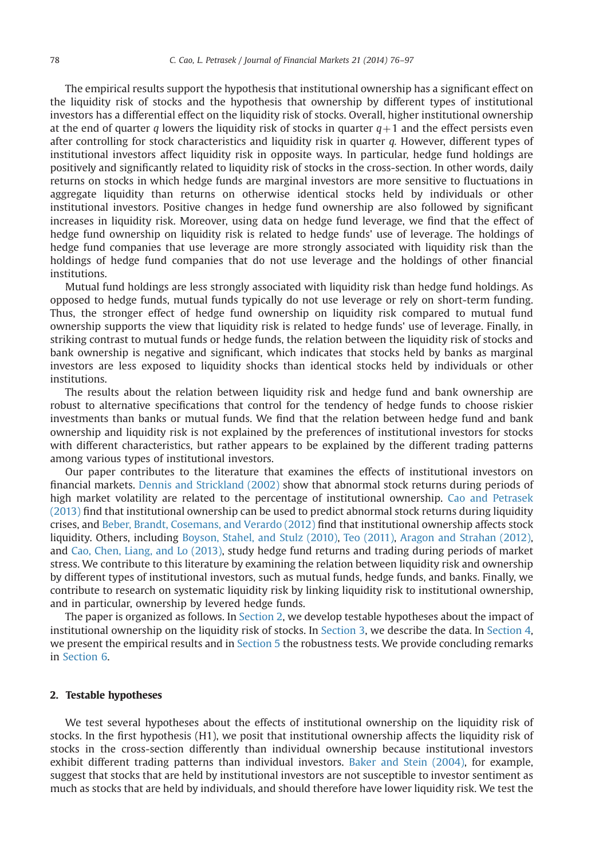The empirical results support the hypothesis that institutional ownership has a significant effect on the liquidity risk of stocks and the hypothesis that ownership by different types of institutional investors has a differential effect on the liquidity risk of stocks. Overall, higher institutional ownership at the end of quarter q lowers the liquidity risk of stocks in quarter  $q+1$  and the effect persists even after controlling for stock characteristics and liquidity risk in quarter q. However, different types of institutional investors affect liquidity risk in opposite ways. In particular, hedge fund holdings are positively and significantly related to liquidity risk of stocks in the cross-section. In other words, daily returns on stocks in which hedge funds are marginal investors are more sensitive to fluctuations in aggregate liquidity than returns on otherwise identical stocks held by individuals or other institutional investors. Positive changes in hedge fund ownership are also followed by significant increases in liquidity risk. Moreover, using data on hedge fund leverage, we find that the effect of hedge fund ownership on liquidity risk is related to hedge funds' use of leverage. The holdings of hedge fund companies that use leverage are more strongly associated with liquidity risk than the holdings of hedge fund companies that do not use leverage and the holdings of other financial institutions.

Mutual fund holdings are less strongly associated with liquidity risk than hedge fund holdings. As opposed to hedge funds, mutual funds typically do not use leverage or rely on short-term funding. Thus, the stronger effect of hedge fund ownership on liquidity risk compared to mutual fund ownership supports the view that liquidity risk is related to hedge funds' use of leverage. Finally, in striking contrast to mutual funds or hedge funds, the relation between the liquidity risk of stocks and bank ownership is negative and significant, which indicates that stocks held by banks as marginal investors are less exposed to liquidity shocks than identical stocks held by individuals or other institutions.

The results about the relation between liquidity risk and hedge fund and bank ownership are robust to alternative specifications that control for the tendency of hedge funds to choose riskier investments than banks or mutual funds. We find that the relation between hedge fund and bank ownership and liquidity risk is not explained by the preferences of institutional investors for stocks with different characteristics, but rather appears to be explained by the different trading patterns among various types of institutional investors.

Our paper contributes to the literature that examines the effects of institutional investors on financial markets. [Dennis and Strickland \(2002\)](#page-21-0) show that abnormal stock returns during periods of high market volatility are related to the percentage of institutional ownership. [Cao and Petrasek](#page-21-0) [\(2013\)](#page-21-0) find that institutional ownership can be used to predict abnormal stock returns during liquidity crises, and [Beber, Brandt, Cosemans, and Verardo \(2012\)](#page-21-0) find that institutional ownership affects stock liquidity. Others, including [Boyson, Stahel, and Stulz \(2010\)](#page-21-0), [Teo \(2011\)](#page-21-0), [Aragon and Strahan \(2012\)](#page-21-0), and [Cao, Chen, Liang, and Lo \(2013\),](#page-21-0) study hedge fund returns and trading during periods of market stress. We contribute to this literature by examining the relation between liquidity risk and ownership by different types of institutional investors, such as mutual funds, hedge funds, and banks. Finally, we contribute to research on systematic liquidity risk by linking liquidity risk to institutional ownership, and in particular, ownership by levered hedge funds.

The paper is organized as follows. In Section 2, we develop testable hypotheses about the impact of institutional ownership on the liquidity risk of stocks. In [Section 3](#page-3-0), we describe the data. In [Section 4](#page-8-0), we present the empirical results and in [Section 5](#page-18-0) the robustness tests. We provide concluding remarks in [Section 6.](#page-20-0)

## 2. Testable hypotheses

We test several hypotheses about the effects of institutional ownership on the liquidity risk of stocks. In the first hypothesis (H1), we posit that institutional ownership affects the liquidity risk of stocks in the cross-section differently than individual ownership because institutional investors exhibit different trading patterns than individual investors. [Baker and Stein \(2004\),](#page-21-0) for example, suggest that stocks that are held by institutional investors are not susceptible to investor sentiment as much as stocks that are held by individuals, and should therefore have lower liquidity risk. We test the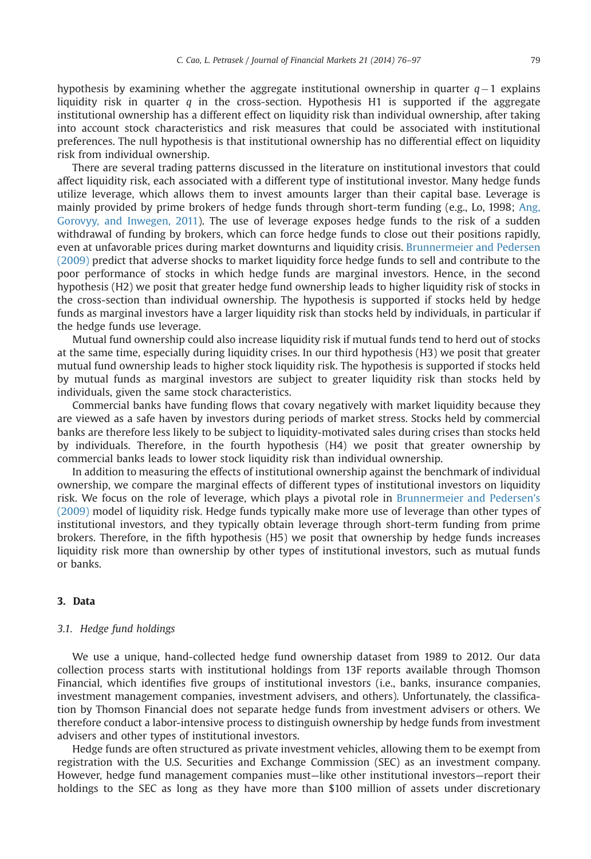<span id="page-3-0"></span>hypothesis by examining whether the aggregate institutional ownership in quarter  $q-1$  explains liquidity risk in quarter  $q$  in the cross-section. Hypothesis H1 is supported if the aggregate institutional ownership has a different effect on liquidity risk than individual ownership, after taking into account stock characteristics and risk measures that could be associated with institutional preferences. The null hypothesis is that institutional ownership has no differential effect on liquidity risk from individual ownership.

There are several trading patterns discussed in the literature on institutional investors that could affect liquidity risk, each associated with a different type of institutional investor. Many hedge funds utilize leverage, which allows them to invest amounts larger than their capital base. Leverage is mainly provided by prime brokers of hedge funds through short-term funding (e.g., Lo, 1998; [Ang,](#page-21-0) [Gorovyy, and Inwegen, 2011](#page-21-0)). The use of leverage exposes hedge funds to the risk of a sudden withdrawal of funding by brokers, which can force hedge funds to close out their positions rapidly, even at unfavorable prices during market downturns and liquidity crisis. [Brunnermeier and Pedersen](#page-21-0) [\(2009\)](#page-21-0) predict that adverse shocks to market liquidity force hedge funds to sell and contribute to the poor performance of stocks in which hedge funds are marginal investors. Hence, in the second hypothesis (H2) we posit that greater hedge fund ownership leads to higher liquidity risk of stocks in the cross-section than individual ownership. The hypothesis is supported if stocks held by hedge funds as marginal investors have a larger liquidity risk than stocks held by individuals, in particular if the hedge funds use leverage.

Mutual fund ownership could also increase liquidity risk if mutual funds tend to herd out of stocks at the same time, especially during liquidity crises. In our third hypothesis (H3) we posit that greater mutual fund ownership leads to higher stock liquidity risk. The hypothesis is supported if stocks held by mutual funds as marginal investors are subject to greater liquidity risk than stocks held by individuals, given the same stock characteristics.

Commercial banks have funding flows that covary negatively with market liquidity because they are viewed as a safe haven by investors during periods of market stress. Stocks held by commercial banks are therefore less likely to be subject to liquidity-motivated sales during crises than stocks held by individuals. Therefore, in the fourth hypothesis (H4) we posit that greater ownership by commercial banks leads to lower stock liquidity risk than individual ownership.

In addition to measuring the effects of institutional ownership against the benchmark of individual ownership, we compare the marginal effects of different types of institutional investors on liquidity risk. We focus on the role of leverage, which plays a pivotal role in [Brunnermeier and Pedersen's](#page-21-0) [\(2009\)](#page-21-0) model of liquidity risk. Hedge funds typically make more use of leverage than other types of institutional investors, and they typically obtain leverage through short-term funding from prime brokers. Therefore, in the fifth hypothesis (H5) we posit that ownership by hedge funds increases liquidity risk more than ownership by other types of institutional investors, such as mutual funds or banks.

## 3. Data

## 3.1. Hedge fund holdings

We use a unique, hand-collected hedge fund ownership dataset from 1989 to 2012. Our data collection process starts with institutional holdings from 13F reports available through Thomson Financial, which identifies five groups of institutional investors (i.e., banks, insurance companies, investment management companies, investment advisers, and others). Unfortunately, the classification by Thomson Financial does not separate hedge funds from investment advisers or others. We therefore conduct a labor-intensive process to distinguish ownership by hedge funds from investment advisers and other types of institutional investors.

Hedge funds are often structured as private investment vehicles, allowing them to be exempt from registration with the U.S. Securities and Exchange Commission (SEC) as an investment company. However, hedge fund management companies must—like other institutional investors—report their holdings to the SEC as long as they have more than \$100 million of assets under discretionary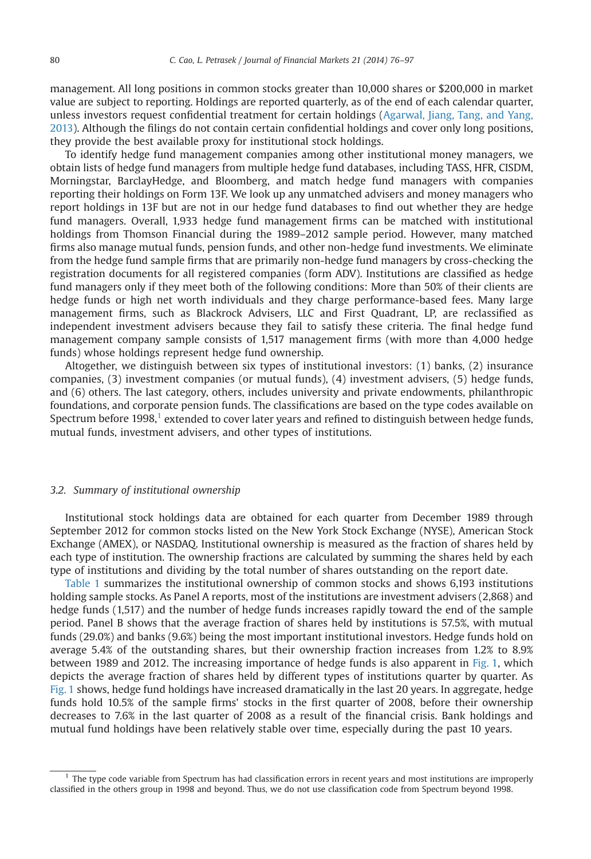management. All long positions in common stocks greater than 10,000 shares or \$200,000 in market value are subject to reporting. Holdings are reported quarterly, as of the end of each calendar quarter, unless investors request confidential treatment for certain holdings ([Agarwal, Jiang, Tang, and Yang,](#page-21-0) [2013\)](#page-21-0). Although the filings do not contain certain confidential holdings and cover only long positions, they provide the best available proxy for institutional stock holdings.

To identify hedge fund management companies among other institutional money managers, we obtain lists of hedge fund managers from multiple hedge fund databases, including TASS, HFR, CISDM, Morningstar, BarclayHedge, and Bloomberg, and match hedge fund managers with companies reporting their holdings on Form 13F. We look up any unmatched advisers and money managers who report holdings in 13F but are not in our hedge fund databases to find out whether they are hedge fund managers. Overall, 1,933 hedge fund management firms can be matched with institutional holdings from Thomson Financial during the 1989–2012 sample period. However, many matched firms also manage mutual funds, pension funds, and other non-hedge fund investments. We eliminate from the hedge fund sample firms that are primarily non-hedge fund managers by cross-checking the registration documents for all registered companies (form ADV). Institutions are classified as hedge fund managers only if they meet both of the following conditions: More than 50% of their clients are hedge funds or high net worth individuals and they charge performance-based fees. Many large management firms, such as Blackrock Advisers, LLC and First Quadrant, LP, are reclassified as independent investment advisers because they fail to satisfy these criteria. The final hedge fund management company sample consists of 1,517 management firms (with more than 4,000 hedge funds) whose holdings represent hedge fund ownership.

Altogether, we distinguish between six types of institutional investors: (1) banks, (2) insurance companies, (3) investment companies (or mutual funds), (4) investment advisers, (5) hedge funds, and (6) others. The last category, others, includes university and private endowments, philanthropic foundations, and corporate pension funds. The classifications are based on the type codes available on Spectrum before  $1998<sup>1</sup>$  extended to cover later years and refined to distinguish between hedge funds, mutual funds, investment advisers, and other types of institutions.

## 3.2. Summary of institutional ownership

Institutional stock holdings data are obtained for each quarter from December 1989 through September 2012 for common stocks listed on the New York Stock Exchange (NYSE), American Stock Exchange (AMEX), or NASDAQ. Institutional ownership is measured as the fraction of shares held by each type of institution. The ownership fractions are calculated by summing the shares held by each type of institutions and dividing by the total number of shares outstanding on the report date.

[Table 1](#page-5-0) summarizes the institutional ownership of common stocks and shows 6,193 institutions holding sample stocks. As Panel A reports, most of the institutions are investment advisers (2,868) and hedge funds (1,517) and the number of hedge funds increases rapidly toward the end of the sample period. Panel B shows that the average fraction of shares held by institutions is 57.5%, with mutual funds (29.0%) and banks (9.6%) being the most important institutional investors. Hedge funds hold on average 5.4% of the outstanding shares, but their ownership fraction increases from 1.2% to 8.9% between 1989 and 2012. The increasing importance of hedge funds is also apparent in [Fig. 1](#page-6-0), which depicts the average fraction of shares held by different types of institutions quarter by quarter. As [Fig. 1](#page-6-0) shows, hedge fund holdings have increased dramatically in the last 20 years. In aggregate, hedge funds hold 10.5% of the sample firms' stocks in the first quarter of 2008, before their ownership decreases to 7.6% in the last quarter of 2008 as a result of the financial crisis. Bank holdings and mutual fund holdings have been relatively stable over time, especially during the past 10 years.

 $<sup>1</sup>$  The type code variable from Spectrum has had classification errors in recent years and most institutions are improperly</sup> classified in the others group in 1998 and beyond. Thus, we do not use classification code from Spectrum beyond 1998.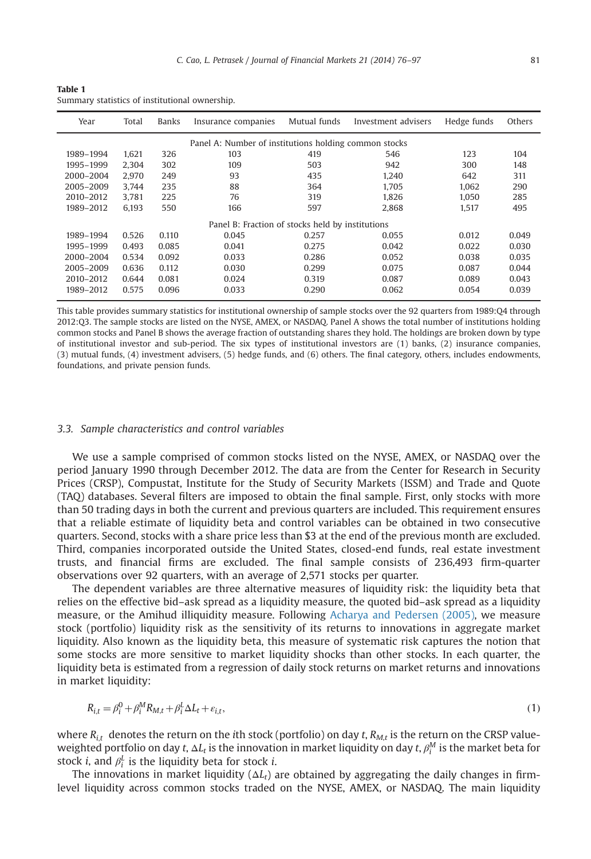| Year      | Total | Banks | Insurance companies                                   | Mutual funds | Investment advisers | Hedge funds | Others |
|-----------|-------|-------|-------------------------------------------------------|--------------|---------------------|-------------|--------|
|           |       |       | Panel A: Number of institutions holding common stocks |              |                     |             |        |
| 1989-1994 | 1.621 | 326   | 103                                                   | 419          | 546                 | 123         | 104    |
| 1995-1999 | 2.304 | 302   | 109                                                   | 503          | 942                 | 300         | 148    |
| 2000-2004 | 2.970 | 249   | 93                                                    | 435          | 1.240               | 642         | 311    |
| 2005-2009 | 3.744 | 235   | 88                                                    | 364          | 1.705               | 1.062       | 290    |
| 2010-2012 | 3.781 | 225   | 76                                                    | 319          | 1.826               | 1.050       | 285    |
| 1989-2012 | 6.193 | 550   | 166                                                   | 597          | 2.868               | 1.517       | 495    |
|           |       |       | Panel B: Fraction of stocks held by institutions      |              |                     |             |        |
| 1989-1994 | 0.526 | 0.110 | 0.045                                                 | 0.257        | 0.055               | 0.012       | 0.049  |
| 1995-1999 | 0.493 | 0.085 | 0.041                                                 | 0.275        | 0.042               | 0.022       | 0.030  |
| 2000-2004 | 0.534 | 0.092 | 0.033                                                 | 0.286        | 0.052               | 0.038       | 0.035  |
| 2005-2009 | 0.636 | 0.112 | 0.030                                                 | 0.299        | 0.075               | 0.087       | 0.044  |
| 2010-2012 | 0.644 | 0.081 | 0.024                                                 | 0.319        | 0.087               | 0.089       | 0.043  |
| 1989-2012 | 0.575 | 0.096 | 0.033                                                 | 0.290        | 0.062               | 0.054       | 0.039  |

<span id="page-5-0"></span>Table 1 Summary statistics of institutional ownership.

This table provides summary statistics for institutional ownership of sample stocks over the 92 quarters from 1989:Q4 through 2012:Q3. The sample stocks are listed on the NYSE, AMEX, or NASDAQ. Panel A shows the total number of institutions holding common stocks and Panel B shows the average fraction of outstanding shares they hold. The holdings are broken down by type of institutional investor and sub-period. The six types of institutional investors are (1) banks, (2) insurance companies, (3) mutual funds, (4) investment advisers, (5) hedge funds, and (6) others. The final category, others, includes endowments, foundations, and private pension funds.

## 3.3. Sample characteristics and control variables

We use a sample comprised of common stocks listed on the NYSE, AMEX, or NASDAQ over the period January 1990 through December 2012. The data are from the Center for Research in Security Prices (CRSP), Compustat, Institute for the Study of Security Markets (ISSM) and Trade and Quote (TAQ) databases. Several filters are imposed to obtain the final sample. First, only stocks with more than 50 trading days in both the current and previous quarters are included. This requirement ensures that a reliable estimate of liquidity beta and control variables can be obtained in two consecutive quarters. Second, stocks with a share price less than \$3 at the end of the previous month are excluded. Third, companies incorporated outside the United States, closed-end funds, real estate investment trusts, and financial firms are excluded. The final sample consists of 236,493 firm-quarter observations over 92 quarters, with an average of 2,571 stocks per quarter.

The dependent variables are three alternative measures of liquidity risk: the liquidity beta that relies on the effective bid–ask spread as a liquidity measure, the quoted bid–ask spread as a liquidity measure, or the Amihud illiquidity measure. Following [Acharya and Pedersen \(2005\),](#page-21-0) we measure stock (portfolio) liquidity risk as the sensitivity of its returns to innovations in aggregate market liquidity. Also known as the liquidity beta, this measure of systematic risk captures the notion that some stocks are more sensitive to market liquidity shocks than other stocks. In each quarter, the liquidity beta is estimated from a regression of daily stock returns on market returns and innovations in market liquidity:

$$
R_{i,t} = \beta_i^0 + \beta_i^M R_{M,t} + \beta_i^L \Delta L_t + \varepsilon_{i,t},
$$
\n(1)

where  $R_{i,t}$  denotes the return on the ith stock (portfolio) on day t,  $R_{M,t}$  is the return on the CRSP valueweighted portfolio on day t,  $\Delta L_t$  is the innovation in market liquidity on day t,  $\beta_i^M$  is the market beta for stock *i*, and  $\beta_i^L$  is the liquidity beta for stock *i*.

The innovations in market liquidity ( $\Delta L_t$ ) are obtained by aggregating the daily changes in firmlevel liquidity across common stocks traded on the NYSE, AMEX, or NASDAQ. The main liquidity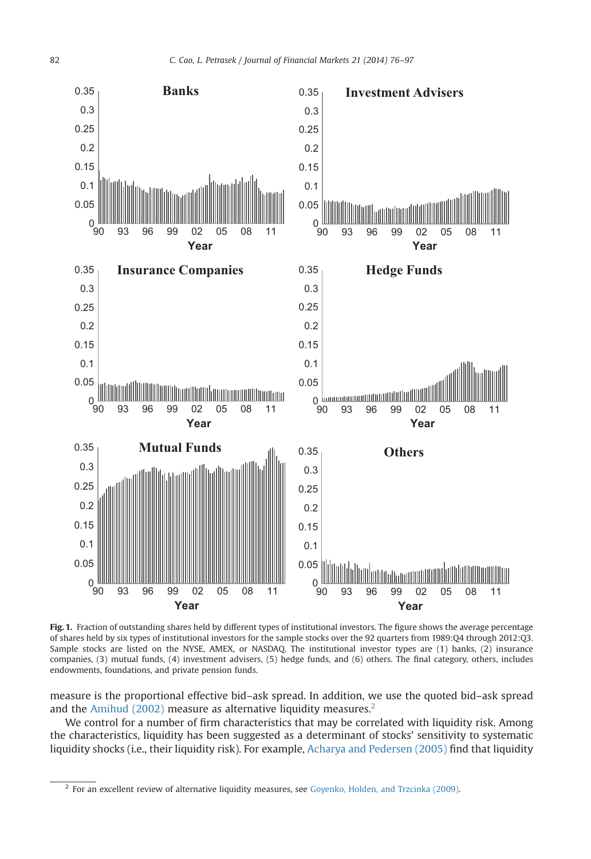<span id="page-6-0"></span>

Fig. 1. Fraction of outstanding shares held by different types of institutional investors. The figure shows the average percentage of shares held by six types of institutional investors for the sample stocks over the 92 quarters from 1989:Q4 through 2012:Q3. Sample stocks are listed on the NYSE, AMEX, or NASDAQ. The institutional investor types are (1) banks, (2) insurance companies, (3) mutual funds, (4) investment advisers, (5) hedge funds, and (6) others. The final category, others, includes endowments, foundations, and private pension funds.

measure is the proportional effective bid–ask spread. In addition, we use the quoted bid–ask spread and the [Amihud \(2002\)](#page-21-0) measure as alternative liquidity measures.<sup>2</sup>

We control for a number of firm characteristics that may be correlated with liquidity risk. Among the characteristics, liquidity has been suggested as a determinant of stocks' sensitivity to systematic liquidity shocks (i.e., their liquidity risk). For example, [Acharya and Pedersen \(2005\)](#page-21-0) find that liquidity

 $2$  For an excellent review of alternative liquidity measures, see [Goyenko, Holden, and Trzcinka \(2009\)](#page-21-0).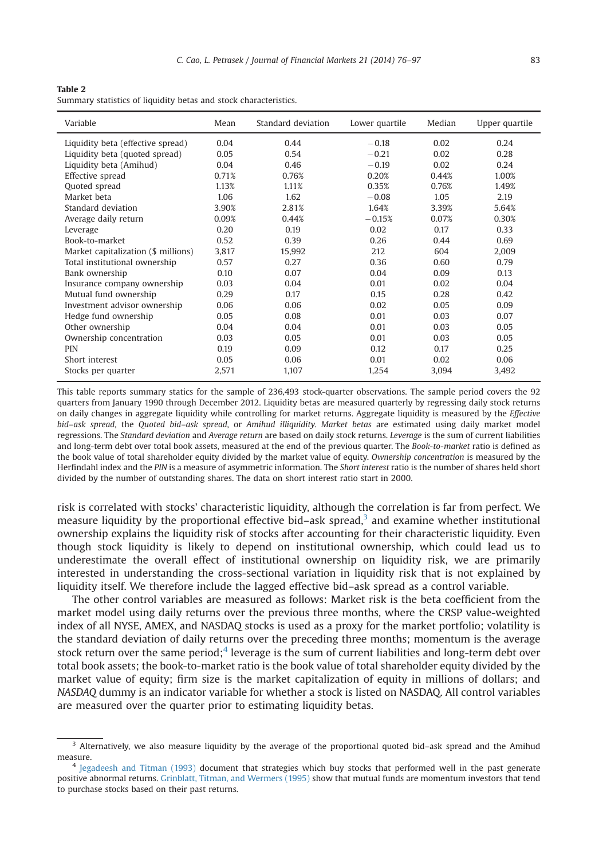<span id="page-7-0"></span>Table 2 Summary statistics of liquidity betas and stock characteristics.

| Variable                            | Mean  | Standard deviation | Lower quartile | Median | Upper quartile |
|-------------------------------------|-------|--------------------|----------------|--------|----------------|
| Liquidity beta (effective spread)   | 0.04  | 0.44               | $-0.18$        | 0.02   | 0.24           |
| Liquidity beta (quoted spread)      | 0.05  | 0.54               | $-0.21$        | 0.02   | 0.28           |
| Liquidity beta (Amihud)             | 0.04  | 0.46               | $-0.19$        | 0.02   | 0.24           |
| Effective spread                    | 0.71% | 0.76%              | 0.20%          | 0.44%  | 1.00%          |
| Quoted spread                       | 1.13% | 1.11%              | 0.35%          | 0.76%  | 1.49%          |
| Market heta                         | 1.06  | 1.62               | $-0.08$        | 1.05   | 2.19           |
| Standard deviation                  | 3.90% | 2.81%              | 1.64%          | 3.39%  | 5.64%          |
| Average daily return                | 0.09% | 0.44%              | $-0.15%$       | 0.07%  | 0.30%          |
| Leverage                            | 0.20  | 0.19               | 0.02           | 0.17   | 0.33           |
| Book-to-market                      | 0.52  | 0.39               | 0.26           | 0.44   | 0.69           |
| Market capitalization (\$ millions) | 3,817 | 15,992             | 212            | 604    | 2,009          |
| Total institutional ownership       | 0.57  | 0.27               | 0.36           | 0.60   | 0.79           |
| Bank ownership                      | 0.10  | 0.07               | 0.04           | 0.09   | 0.13           |
| Insurance company ownership         | 0.03  | 0.04               | 0.01           | 0.02   | 0.04           |
| Mutual fund ownership               | 0.29  | 0.17               | 0.15           | 0.28   | 0.42           |
| Investment advisor ownership        | 0.06  | 0.06               | 0.02           | 0.05   | 0.09           |
| Hedge fund ownership                | 0.05  | 0.08               | 0.01           | 0.03   | 0.07           |
| Other ownership                     | 0.04  | 0.04               | 0.01           | 0.03   | 0.05           |
| Ownership concentration             | 0.03  | 0.05               | 0.01           | 0.03   | 0.05           |
| <b>PIN</b>                          | 0.19  | 0.09               | 0.12           | 0.17   | 0.25           |
| Short interest                      | 0.05  | 0.06               | 0.01           | 0.02   | 0.06           |
| Stocks per quarter                  | 2,571 | 1,107              | 1,254          | 3,094  | 3,492          |

This table reports summary statics for the sample of 236,493 stock-quarter observations. The sample period covers the 92 quarters from January 1990 through December 2012. Liquidity betas are measured quarterly by regressing daily stock returns on daily changes in aggregate liquidity while controlling for market returns. Aggregate liquidity is measured by the Effective bid–ask spread, the Quoted bid–ask spread, or Amihud illiquidity. Market betas are estimated using daily market model regressions. The Standard deviation and Average return are based on daily stock returns. Leverage is the sum of current liabilities and long-term debt over total book assets, measured at the end of the previous quarter. The Book-to-market ratio is defined as the book value of total shareholder equity divided by the market value of equity. Ownership concentration is measured by the Herfindahl index and the PIN is a measure of asymmetric information. The Short interest ratio is the number of shares held short divided by the number of outstanding shares. The data on short interest ratio start in 2000.

risk is correlated with stocks' characteristic liquidity, although the correlation is far from perfect. We measure liquidity by the proportional effective bid–ask spread, $3$  and examine whether institutional ownership explains the liquidity risk of stocks after accounting for their characteristic liquidity. Even though stock liquidity is likely to depend on institutional ownership, which could lead us to underestimate the overall effect of institutional ownership on liquidity risk, we are primarily interested in understanding the cross-sectional variation in liquidity risk that is not explained by liquidity itself. We therefore include the lagged effective bid–ask spread as a control variable.

The other control variables are measured as follows: Market risk is the beta coefficient from the market model using daily returns over the previous three months, where the CRSP value-weighted index of all NYSE, AMEX, and NASDAQ stocks is used as a proxy for the market portfolio; volatility is the standard deviation of daily returns over the preceding three months; momentum is the average stock return over the same period;<sup>4</sup> leverage is the sum of current liabilities and long-term debt over total book assets; the book-to-market ratio is the book value of total shareholder equity divided by the market value of equity; firm size is the market capitalization of equity in millions of dollars; and NASDAQ dummy is an indicator variable for whether a stock is listed on NASDAQ. All control variables are measured over the quarter prior to estimating liquidity betas.

<sup>&</sup>lt;sup>3</sup> Alternatively, we also measure liquidity by the average of the proportional quoted bid-ask spread and the Amihud measure.

<sup>&</sup>lt;sup>4</sup> [Jegadeesh and Titman \(1993\)](#page-21-0) document that strategies which buy stocks that performed well in the past generate positive abnormal returns. [Grinblatt, Titman, and Wermers \(1995\)](#page-21-0) show that mutual funds are momentum investors that tend to purchase stocks based on their past returns.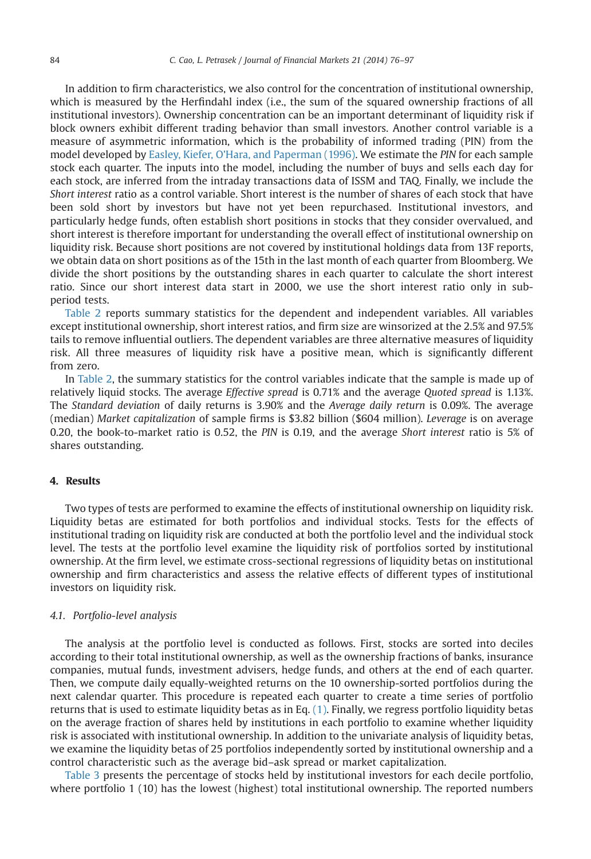<span id="page-8-0"></span>In addition to firm characteristics, we also control for the concentration of institutional ownership, which is measured by the Herfindahl index (i.e., the sum of the squared ownership fractions of all institutional investors). Ownership concentration can be an important determinant of liquidity risk if block owners exhibit different trading behavior than small investors. Another control variable is a measure of asymmetric information, which is the probability of informed trading (PIN) from the model developed by [Easley, Kiefer, O'Hara, and Paperman \(1996\)](#page-21-0). We estimate the PIN for each sample stock each quarter. The inputs into the model, including the number of buys and sells each day for each stock, are inferred from the intraday transactions data of ISSM and TAQ. Finally, we include the Short interest ratio as a control variable. Short interest is the number of shares of each stock that have been sold short by investors but have not yet been repurchased. Institutional investors, and particularly hedge funds, often establish short positions in stocks that they consider overvalued, and short interest is therefore important for understanding the overall effect of institutional ownership on liquidity risk. Because short positions are not covered by institutional holdings data from 13F reports, we obtain data on short positions as of the 15th in the last month of each quarter from Bloomberg. We divide the short positions by the outstanding shares in each quarter to calculate the short interest ratio. Since our short interest data start in 2000, we use the short interest ratio only in subperiod tests.

[Table 2](#page-7-0) reports summary statistics for the dependent and independent variables. All variables except institutional ownership, short interest ratios, and firm size are winsorized at the 2.5% and 97.5% tails to remove influential outliers. The dependent variables are three alternative measures of liquidity risk. All three measures of liquidity risk have a positive mean, which is significantly different from zero.

In [Table 2,](#page-7-0) the summary statistics for the control variables indicate that the sample is made up of relatively liquid stocks. The average Effective spread is 0.71% and the average Quoted spread is 1.13%. The Standard deviation of daily returns is 3.90% and the Average daily return is 0.09%. The average (median) Market capitalization of sample firms is \$3.82 billion (\$604 million). Leverage is on average 0.20, the book-to-market ratio is 0.52, the PIN is 0.19, and the average Short interest ratio is 5% of shares outstanding.

## 4. Results

Two types of tests are performed to examine the effects of institutional ownership on liquidity risk. Liquidity betas are estimated for both portfolios and individual stocks. Tests for the effects of institutional trading on liquidity risk are conducted at both the portfolio level and the individual stock level. The tests at the portfolio level examine the liquidity risk of portfolios sorted by institutional ownership. At the firm level, we estimate cross-sectional regressions of liquidity betas on institutional ownership and firm characteristics and assess the relative effects of different types of institutional investors on liquidity risk.

## 4.1. Portfolio-level analysis

The analysis at the portfolio level is conducted as follows. First, stocks are sorted into deciles according to their total institutional ownership, as well as the ownership fractions of banks, insurance companies, mutual funds, investment advisers, hedge funds, and others at the end of each quarter. Then, we compute daily equally-weighted returns on the 10 ownership-sorted portfolios during the next calendar quarter. This procedure is repeated each quarter to create a time series of portfolio returns that is used to estimate liquidity betas as in Eq. [\(1\).](#page-5-0) Finally, we regress portfolio liquidity betas on the average fraction of shares held by institutions in each portfolio to examine whether liquidity risk is associated with institutional ownership. In addition to the univariate analysis of liquidity betas, we examine the liquidity betas of 25 portfolios independently sorted by institutional ownership and a control characteristic such as the average bid–ask spread or market capitalization.

[Table 3](#page-9-0) presents the percentage of stocks held by institutional investors for each decile portfolio, where portfolio 1 (10) has the lowest (highest) total institutional ownership. The reported numbers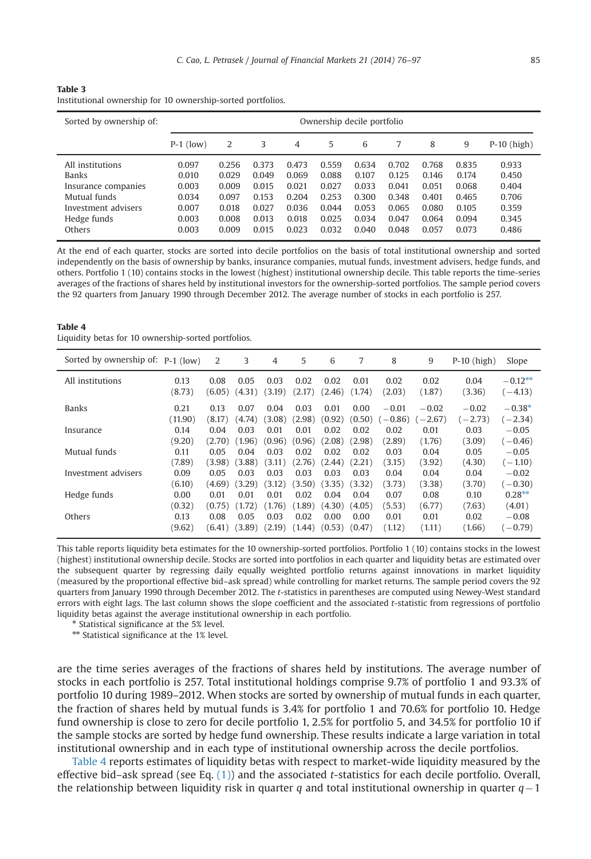| Sorted by ownership of:                                                                                       | Ownership decile portfolio                                                                               |                                                    |                                                    |                                                    |                                                    |                                                    |                                                    |                                                    |                                                    |
|---------------------------------------------------------------------------------------------------------------|----------------------------------------------------------------------------------------------------------|----------------------------------------------------|----------------------------------------------------|----------------------------------------------------|----------------------------------------------------|----------------------------------------------------|----------------------------------------------------|----------------------------------------------------|----------------------------------------------------|
|                                                                                                               | 2<br>$P-1$ (low)                                                                                         | 3                                                  | 4                                                  | 5                                                  | 6                                                  |                                                    | 8                                                  | 9                                                  | $P-10$ (high)                                      |
| All institutions<br><b>Banks</b><br>Insurance companies<br>Mutual funds<br>Investment advisers<br>Hedge funds | 0.097<br>0.256<br>0.029<br>0.010<br>0.003<br>0.009<br>0.034<br>0.097<br>0.007<br>0.018<br>0.003<br>0.008 | 0.373<br>0.049<br>0.015<br>0.153<br>0.027<br>0.013 | 0.473<br>0.069<br>0.021<br>0.204<br>0.036<br>0.018 | 0.559<br>0.088<br>0.027<br>0.253<br>0.044<br>0.025 | 0.634<br>0.107<br>0.033<br>0.300<br>0.053<br>0.034 | 0.702<br>0.125<br>0.041<br>0.348<br>0.065<br>0.047 | 0.768<br>0.146<br>0.051<br>0.401<br>0.080<br>0.064 | 0.835<br>0.174<br>0.068<br>0.465<br>0.105<br>0.094 | 0.933<br>0.450<br>0.404<br>0.706<br>0.359<br>0.345 |

<span id="page-9-0"></span>Table 3 Institutional ownership for 10 ownership-sorted portfolios.

At the end of each quarter, stocks are sorted into decile portfolios on the basis of total institutional ownership and sorted independently on the basis of ownership by banks, insurance companies, mutual funds, investment advisers, hedge funds, and others. Portfolio 1 (10) contains stocks in the lowest (highest) institutional ownership decile. This table reports the time-series averages of the fractions of shares held by institutional investors for the ownership-sorted portfolios. The sample period covers the 92 quarters from January 1990 through December 2012. The average number of stocks in each portfolio is 257.

#### Table 4

|  |  |  |  | Liquidity betas for 10 ownership-sorted portfolios. |  |  |
|--|--|--|--|-----------------------------------------------------|--|--|
|--|--|--|--|-----------------------------------------------------|--|--|

| Sorted by ownership of: P-1 (low) |         | 2      | 3      | 4      | 5      | 6      | 7      | 8       | 9       | $P-10$ (high) | Slope      |
|-----------------------------------|---------|--------|--------|--------|--------|--------|--------|---------|---------|---------------|------------|
| All institutions                  | 0.13    | 0.08   | 0.05   | 0.03   | 0.02   | 0.02   | 0.01   | 0.02    | 0.02    | 0.04          | $-0.12***$ |
|                                   | (8.73)  | (6.05) | (4.31) | (3.19) | (2.17) | (2.46) | (1.74) | (2.03)  | (1.87)  | (3.36)        | $(-4.13)$  |
| <b>Banks</b>                      | 0.21    | 0.13   | 0.07   | 0.04   | 0.03   | 0.01   | 0.00   | $-0.01$ | $-0.02$ | $-0.02$       | $-0.38*$   |
|                                   | (11.90) | (8.17) | (4.74) | (3.08) | (2.98) | (0.92) | (0.50) | $-0.86$ | $-2.67$ | $-2.73$       | $-2.34)$   |
| Insurance                         | 0.14    | 0.04   | 0.03   | 0.01   | 0.01   | 0.02   | 0.02   | 0.02    | 0.01    | 0.03          | $-0.05$    |
|                                   | (9.20)  | (2.70) | (1.96) | (0.96) | (0.96) | (2.08) | (2.98) | (2.89)  | (1.76)  | (3.09)        | $(-0.46)$  |
| Mutual funds                      | 0.11    | 0.05   | 0.04   | 0.03   | 0.02   | 0.02   | 0.02   | 0.03    | 0.04    | 0.05          | $-0.05$    |
|                                   | (7.89)  | (3.98) | (3.88) | (3.11) | (2.76) | (2.44) | (2.21) | (3.15)  | (3.92)  | (4.30)        | $-1.10$ )  |
| Investment advisers               | 0.09    | 0.05   | 0.03   | 0.03   | 0.03   | 0.03   | 0.03   | 0.04    | 0.04    | 0.04          | $-0.02$    |
|                                   | (6.10)  | (4.69) | (3.29) | (3.12) | (3.50) | (3.35) | (3.32) | (3.73)  | (3.38)  | (3.70)        | $(-0.30)$  |
| Hedge funds                       | 0.00    | 0.01   | 0.01   | 0.01   | 0.02   | 0.04   | 0.04   | 0.07    | 0.08    | 0.10          | $0.28***$  |
|                                   | (0.32)  | (0.75) | (1.72) | (1.76) | (1.89) | (4.30) | (4.05) | (5.53)  | (6.77)  | (7.63)        | (4.01)     |
| Others                            | 0.13    | 0.08   | 0.05   | 0.03   | 0.02   | 0.00   | 0.00   | 0.01    | 0.01    | 0.02          | $-0.08$    |
|                                   | (9.62)  | (6.41) | (3.89) | (2.19) | (1.44) | (0.53) | (0.47) | (1.12)  | (1.11)  | (1.66)        | $(-0.79)$  |

This table reports liquidity beta estimates for the 10 ownership-sorted portfolios. Portfolio 1 (10) contains stocks in the lowest (highest) institutional ownership decile. Stocks are sorted into portfolios in each quarter and liquidity betas are estimated over the subsequent quarter by regressing daily equally weighted portfolio returns against innovations in market liquidity (measured by the proportional effective bid–ask spread) while controlling for market returns. The sample period covers the 92 quarters from January 1990 through December 2012. The t-statistics in parentheses are computed using Newey-West standard errors with eight lags. The last column shows the slope coefficient and the associated t-statistic from regressions of portfolio liquidity betas against the average institutional ownership in each portfolio.

\* Statistical significance at the 5% level.

\*\* Statistical significance at the 1% level.

are the time series averages of the fractions of shares held by institutions. The average number of stocks in each portfolio is 257. Total institutional holdings comprise 9.7% of portfolio 1 and 93.3% of portfolio 10 during 1989–2012. When stocks are sorted by ownership of mutual funds in each quarter, the fraction of shares held by mutual funds is 3.4% for portfolio 1 and 70.6% for portfolio 10. Hedge fund ownership is close to zero for decile portfolio 1, 2.5% for portfolio 5, and 34.5% for portfolio 10 if the sample stocks are sorted by hedge fund ownership. These results indicate a large variation in total institutional ownership and in each type of institutional ownership across the decile portfolios.

Table 4 reports estimates of liquidity betas with respect to market-wide liquidity measured by the effective bid–ask spread (see Eq.  $(1)$ ) and the associated t-statistics for each decile portfolio. Overall, the relationship between liquidity risk in quarter  $q$  and total institutional ownership in quarter  $q-1$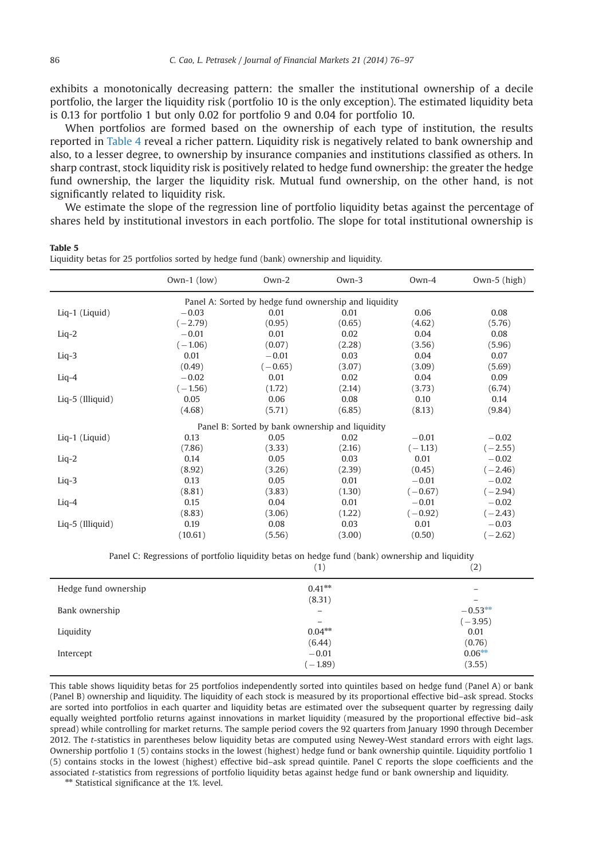<span id="page-10-0"></span>exhibits a monotonically decreasing pattern: the smaller the institutional ownership of a decile portfolio, the larger the liquidity risk (portfolio 10 is the only exception). The estimated liquidity beta is 0.13 for portfolio 1 but only 0.02 for portfolio 9 and 0.04 for portfolio 10.

When portfolios are formed based on the ownership of each type of institution, the results reported in [Table 4](#page-9-0) reveal a richer pattern. Liquidity risk is negatively related to bank ownership and also, to a lesser degree, to ownership by insurance companies and institutions classified as others. In sharp contrast, stock liquidity risk is positively related to hedge fund ownership: the greater the hedge fund ownership, the larger the liquidity risk. Mutual fund ownership, on the other hand, is not significantly related to liquidity risk.

We estimate the slope of the regression line of portfolio liquidity betas against the percentage of shares held by institutional investors in each portfolio. The slope for total institutional ownership is

Liquidity betas for 25 portfolios sorted by hedge fund (bank) ownership and liquidity.

#### Table 5

|                      | Own-1 $(low)$                                                                                  | $Own-2$                                               | $Own-3$           | $Own-4$   | Own-5 (high) |
|----------------------|------------------------------------------------------------------------------------------------|-------------------------------------------------------|-------------------|-----------|--------------|
|                      |                                                                                                | Panel A: Sorted by hedge fund ownership and liquidity |                   |           |              |
| Liq-1 (Liquid)       | $-0.03$                                                                                        | 0.01                                                  | 0.01              | 0.06      | 0.08         |
|                      | $(-2.79)$                                                                                      | (0.95)                                                | (0.65)            | (4.62)    | (5.76)       |
| $Liq-2$              | $-0.01$                                                                                        | 0.01                                                  | 0.02              | 0.04      | 0.08         |
|                      | $(-1.06)$                                                                                      | (0.07)                                                | (2.28)            | (3.56)    | (5.96)       |
| $Liq-3$              | 0.01                                                                                           | $-0.01$                                               | 0.03              | 0.04      | 0.07         |
|                      | (0.49)                                                                                         | $(-0.65)$                                             | (3.07)            | (3.09)    | (5.69)       |
| $Liq-4$              | $-0.02$                                                                                        | 0.01                                                  | 0.02              | 0.04      | 0.09         |
|                      | $(-1.56)$                                                                                      | (1.72)                                                | (2.14)            | (3.73)    | (6.74)       |
| Lig-5 (Illiquid)     | 0.05                                                                                           | 0.06                                                  | 0.08              | 0.10      | 0.14         |
|                      | (4.68)                                                                                         | (5.71)                                                | (6.85)            | (8.13)    | (9.84)       |
|                      |                                                                                                | Panel B: Sorted by bank ownership and liquidity       |                   |           |              |
| Liq-1 (Liquid)       | 0.13                                                                                           | 0.05                                                  | 0.02              | $-0.01$   | $-0.02$      |
|                      | (7.86)                                                                                         | (3.33)                                                | (2.16)            | $(-1.13)$ | $(-2.55)$    |
| $Liq-2$              | 0.14                                                                                           | 0.05                                                  | 0.03              | 0.01      | $-0.02$      |
|                      | (8.92)                                                                                         | (3.26)                                                | (2.39)            | (0.45)    | $(-2.46)$    |
| $Liq-3$              | 0.13                                                                                           | 0.05                                                  | 0.01              | $-0.01$   | $-0.02$      |
|                      | (8.81)                                                                                         | (3.83)                                                | (1.30)            | $(-0.67)$ | $(-2.94)$    |
| $Liq-4$              | 0.15                                                                                           | 0.04                                                  | 0.01              | $-0.01$   | $-0.02$      |
|                      | (8.83)                                                                                         | (3.06)                                                | (1.22)            | $(-0.92)$ | $(-2.43)$    |
| Liq-5 (Illiquid)     | 0.19                                                                                           | 0.08                                                  | 0.03              | 0.01      | $-0.03$      |
|                      | (10.61)                                                                                        | (5.56)                                                | (3.00)            | (0.50)    | $(-2.62)$    |
|                      | Panel C: Regressions of portfolio liquidity betas on hedge fund (bank) ownership and liquidity |                                                       |                   |           |              |
|                      |                                                                                                |                                                       | (1)               |           | (2)          |
|                      |                                                                                                |                                                       |                   |           |              |
| Hedge fund ownership |                                                                                                |                                                       | $0.41***$         |           |              |
|                      |                                                                                                |                                                       | (8.31)            |           |              |
| Bank ownership       |                                                                                                |                                                       | $\qquad \qquad -$ |           | $-0.53**$    |
|                      |                                                                                                |                                                       |                   |           | $(-3.95)$    |
| Liquidity            |                                                                                                |                                                       | $0.04***$         |           | 0.01         |
|                      |                                                                                                |                                                       | (6.44)            |           | (0.76)       |
| Intercept            |                                                                                                |                                                       | $-0.01$           |           | $0.06***$    |
|                      |                                                                                                |                                                       | $(-1.89)$         |           | (3.55)       |

This table shows liquidity betas for 25 portfolios independently sorted into quintiles based on hedge fund (Panel A) or bank (Panel B) ownership and liquidity. The liquidity of each stock is measured by its proportional effective bid–ask spread. Stocks are sorted into portfolios in each quarter and liquidity betas are estimated over the subsequent quarter by regressing daily equally weighted portfolio returns against innovations in market liquidity (measured by the proportional effective bid–ask spread) while controlling for market returns. The sample period covers the 92 quarters from January 1990 through December 2012. The t-statistics in parentheses below liquidity betas are computed using Newey-West standard errors with eight lags. Ownership portfolio 1 (5) contains stocks in the lowest (highest) hedge fund or bank ownership quintile. Liquidity portfolio 1 (5) contains stocks in the lowest (highest) effective bid–ask spread quintile. Panel C reports the slope coefficients and the associated t-statistics from regressions of portfolio liquidity betas against hedge fund or bank ownership and liquidity.

\*\* Statistical significance at the 1%. level.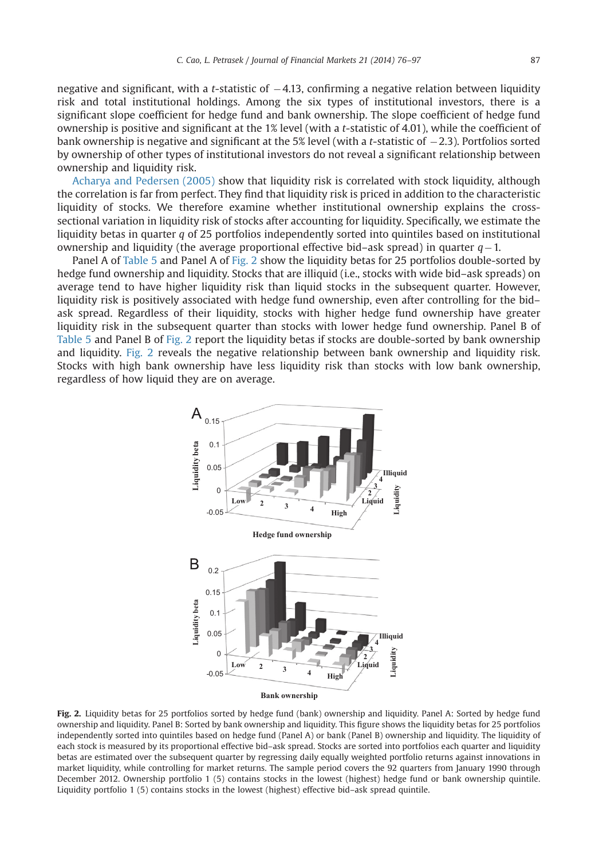negative and significant, with a *t*-statistic of  $-4.13$ , confirming a negative relation between liquidity risk and total institutional holdings. Among the six types of institutional investors, there is a significant slope coefficient for hedge fund and bank ownership. The slope coefficient of hedge fund ownership is positive and significant at the 1% level (with a t-statistic of 4.01), while the coefficient of bank ownership is negative and significant at the 5% level (with a *t*-statistic of  $-2.3$ ). Portfolios sorted by ownership of other types of institutional investors do not reveal a significant relationship between ownership and liquidity risk.

[Acharya and Pedersen \(2005\)](#page-21-0) show that liquidity risk is correlated with stock liquidity, although the correlation is far from perfect. They find that liquidity risk is priced in addition to the characteristic liquidity of stocks. We therefore examine whether institutional ownership explains the crosssectional variation in liquidity risk of stocks after accounting for liquidity. Specifically, we estimate the liquidity betas in quarter q of 25 portfolios independently sorted into quintiles based on institutional ownership and liquidity (the average proportional effective bid–ask spread) in quarter  $q-1$ .

Panel A of [Table 5](#page-10-0) and Panel A of Fig. 2 show the liquidity betas for 25 portfolios double-sorted by hedge fund ownership and liquidity. Stocks that are illiquid (i.e., stocks with wide bid–ask spreads) on average tend to have higher liquidity risk than liquid stocks in the subsequent quarter. However, liquidity risk is positively associated with hedge fund ownership, even after controlling for the bid– ask spread. Regardless of their liquidity, stocks with higher hedge fund ownership have greater liquidity risk in the subsequent quarter than stocks with lower hedge fund ownership. Panel B of [Table 5](#page-10-0) and Panel B of Fig. 2 report the liquidity betas if stocks are double-sorted by bank ownership and liquidity. Fig. 2 reveals the negative relationship between bank ownership and liquidity risk. Stocks with high bank ownership have less liquidity risk than stocks with low bank ownership, regardless of how liquid they are on average.



Fig. 2. Liquidity betas for 25 portfolios sorted by hedge fund (bank) ownership and liquidity. Panel A: Sorted by hedge fund ownership and liquidity. Panel B: Sorted by bank ownership and liquidity. This figure shows the liquidity betas for 25 portfolios independently sorted into quintiles based on hedge fund (Panel A) or bank (Panel B) ownership and liquidity. The liquidity of each stock is measured by its proportional effective bid–ask spread. Stocks are sorted into portfolios each quarter and liquidity betas are estimated over the subsequent quarter by regressing daily equally weighted portfolio returns against innovations in market liquidity, while controlling for market returns. The sample period covers the 92 quarters from January 1990 through December 2012. Ownership portfolio 1 (5) contains stocks in the lowest (highest) hedge fund or bank ownership quintile. Liquidity portfolio 1 (5) contains stocks in the lowest (highest) effective bid–ask spread quintile.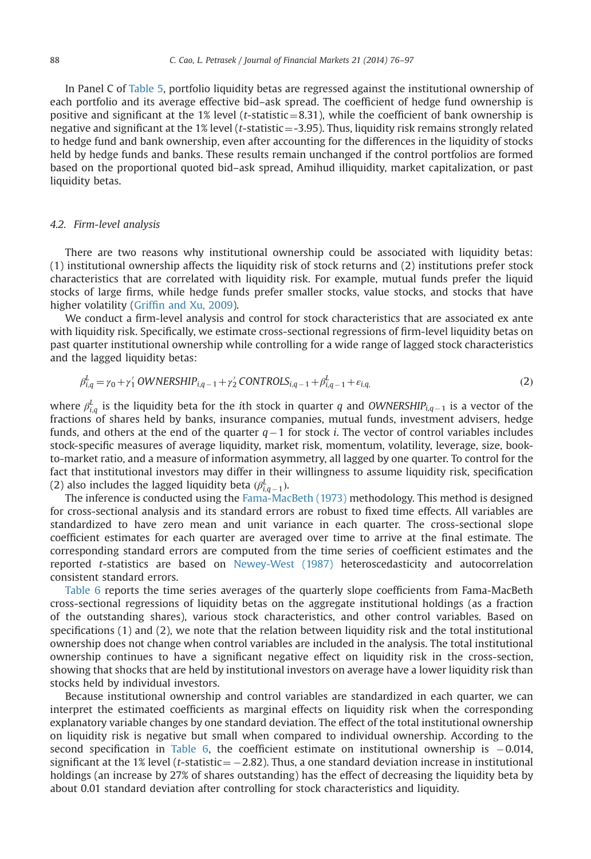<span id="page-12-0"></span>In Panel C of [Table 5](#page-10-0), portfolio liquidity betas are regressed against the institutional ownership of each portfolio and its average effective bid–ask spread. The coefficient of hedge fund ownership is positive and significant at the 1% level ( $t$ -statistic $=$ 8.31), while the coefficient of bank ownership is negative and significant at the 1% level ( $t$ -statistic = -3.95). Thus, liquidity risk remains strongly related to hedge fund and bank ownership, even after accounting for the differences in the liquidity of stocks held by hedge funds and banks. These results remain unchanged if the control portfolios are formed based on the proportional quoted bid–ask spread, Amihud illiquidity, market capitalization, or past liquidity betas.

## 4.2. Firm-level analysis

There are two reasons why institutional ownership could be associated with liquidity betas: (1) institutional ownership affects the liquidity risk of stock returns and (2) institutions prefer stock characteristics that are correlated with liquidity risk. For example, mutual funds prefer the liquid stocks of large firms, while hedge funds prefer smaller stocks, value stocks, and stocks that have higher volatility (Griffi[n and Xu, 2009](#page-21-0)).

We conduct a firm-level analysis and control for stock characteristics that are associated ex ante with liquidity risk. Specifically, we estimate cross-sectional regressions of firm-level liquidity betas on past quarter institutional ownership while controlling for a wide range of lagged stock characteristics and the lagged liquidity betas:

$$
\beta_{i,q}^l = \gamma_0 + \gamma_1' \text{OWNERSHIP}_{i,q-1} + \gamma_2' \text{CONTROLS}_{i,q-1} + \beta_{i,q-1}^l + \varepsilon_{i,q},\tag{2}
$$

where  $\beta_{i,q}^l$  is the liquidity beta for the *i*th stock in quarter q and OWNERSHIP<sub>i,q-1</sub> is a vector of the fractions of shares held by banks, insurance companies, mutual funds, investment advisers, hedge funds, and others at the end of the quarter  $q-1$  for stock *i*. The vector of control variables includes stock-specific measures of average liquidity, market risk, momentum, volatility, leverage, size, bookto-market ratio, and a measure of information asymmetry, all lagged by one quarter. To control for the fact that institutional investors may differ in their willingness to assume liquidity risk, specification (2) also includes the lagged liquidity beta  $(\beta_{i,q-1}^L)$ .

The inference is conducted using the [Fama-MacBeth \(1973\)](#page-21-0) methodology. This method is designed for cross-sectional analysis and its standard errors are robust to fixed time effects. All variables are standardized to have zero mean and unit variance in each quarter. The cross-sectional slope coefficient estimates for each quarter are averaged over time to arrive at the final estimate. The corresponding standard errors are computed from the time series of coefficient estimates and the reported t-statistics are based on [Newey-West \(1987\)](#page-21-0) heteroscedasticity and autocorrelation consistent standard errors.

[Table 6](#page-13-0) reports the time series averages of the quarterly slope coefficients from Fama-MacBeth cross-sectional regressions of liquidity betas on the aggregate institutional holdings (as a fraction of the outstanding shares), various stock characteristics, and other control variables. Based on specifications (1) and (2), we note that the relation between liquidity risk and the total institutional ownership does not change when control variables are included in the analysis. The total institutional ownership continues to have a significant negative effect on liquidity risk in the cross-section, showing that shocks that are held by institutional investors on average have a lower liquidity risk than stocks held by individual investors.

Because institutional ownership and control variables are standardized in each quarter, we can interpret the estimated coefficients as marginal effects on liquidity risk when the corresponding explanatory variable changes by one standard deviation. The effect of the total institutional ownership on liquidity risk is negative but small when compared to individual ownership. According to the second specification in [Table 6](#page-13-0), the coefficient estimate on institutional ownership is  $-0.014$ , significant at the 1% level ( $t$ -statistic =  $-2.82$ ). Thus, a one standard deviation increase in institutional holdings (an increase by 27% of shares outstanding) has the effect of decreasing the liquidity beta by about 0.01 standard deviation after controlling for stock characteristics and liquidity.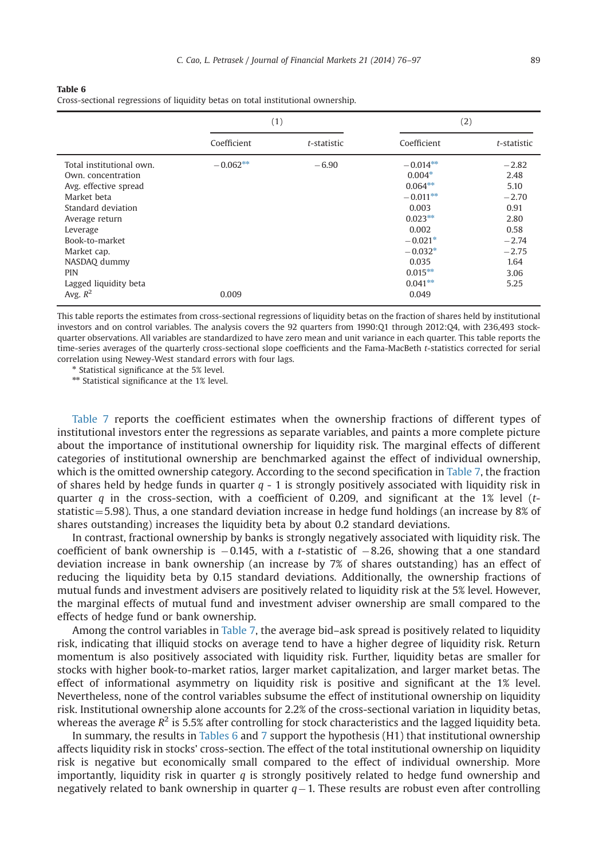<span id="page-13-0"></span>Table 6

|  | Cross-sectional regressions of liquidity betas on total institutional ownership. |
|--|----------------------------------------------------------------------------------|
|--|----------------------------------------------------------------------------------|

|                                                                                                                                                                                                                                                  | (1)                 |             | (2)                                                                                                                                                        |                                                                                                          |
|--------------------------------------------------------------------------------------------------------------------------------------------------------------------------------------------------------------------------------------------------|---------------------|-------------|------------------------------------------------------------------------------------------------------------------------------------------------------------|----------------------------------------------------------------------------------------------------------|
|                                                                                                                                                                                                                                                  | Coefficient         | t-statistic | Coefficient                                                                                                                                                | t-statistic                                                                                              |
| Total institutional own.<br>Own. concentration<br>Avg. effective spread<br>Market beta<br>Standard deviation<br>Average return<br>Leverage<br>Book-to-market<br>Market cap.<br>NASDAQ dummy<br><b>PIN</b><br>Lagged liquidity beta<br>Avg. $R^2$ | $-0.062**$<br>0.009 | $-6.90$     | $-0.014**$<br>$0.004*$<br>$0.064***$<br>$-0.011**$<br>0.003<br>$0.023***$<br>0.002<br>$-0.021*$<br>$-0.032*$<br>0.035<br>$0.015***$<br>$0.041***$<br>0.049 | $-2.82$<br>2.48<br>5.10<br>$-2.70$<br>0.91<br>2.80<br>0.58<br>$-2.74$<br>$-2.75$<br>1.64<br>3.06<br>5.25 |

This table reports the estimates from cross-sectional regressions of liquidity betas on the fraction of shares held by institutional investors and on control variables. The analysis covers the 92 quarters from 1990:Q1 through 2012:Q4, with 236,493 stockquarter observations. All variables are standardized to have zero mean and unit variance in each quarter. This table reports the time-series averages of the quarterly cross-sectional slope coefficients and the Fama-MacBeth t-statistics corrected for serial correlation using Newey-West standard errors with four lags.

\* Statistical significance at the 5% level.

\*\* Statistical significance at the 1% level.

[Table 7](#page-14-0) reports the coefficient estimates when the ownership fractions of different types of institutional investors enter the regressions as separate variables, and paints a more complete picture about the importance of institutional ownership for liquidity risk. The marginal effects of different categories of institutional ownership are benchmarked against the effect of individual ownership, which is the omitted ownership category. According to the second specification in [Table 7,](#page-14-0) the fraction of shares held by hedge funds in quarter  $q - 1$  is strongly positively associated with liquidity risk in quarter q in the cross-section, with a coefficient of 0.209, and significant at the 1% level (tstatistic $=$  5.98). Thus, a one standard deviation increase in hedge fund holdings (an increase by 8% of shares outstanding) increases the liquidity beta by about 0.2 standard deviations.

In contrast, fractional ownership by banks is strongly negatively associated with liquidity risk. The coefficient of bank ownership is  $-0.145$ , with a *t*-statistic of  $-8.26$ , showing that a one standard deviation increase in bank ownership (an increase by 7% of shares outstanding) has an effect of reducing the liquidity beta by 0.15 standard deviations. Additionally, the ownership fractions of mutual funds and investment advisers are positively related to liquidity risk at the 5% level. However, the marginal effects of mutual fund and investment adviser ownership are small compared to the effects of hedge fund or bank ownership.

Among the control variables in [Table 7](#page-14-0), the average bid–ask spread is positively related to liquidity risk, indicating that illiquid stocks on average tend to have a higher degree of liquidity risk. Return momentum is also positively associated with liquidity risk. Further, liquidity betas are smaller for stocks with higher book-to-market ratios, larger market capitalization, and larger market betas. The effect of informational asymmetry on liquidity risk is positive and significant at the 1% level. Nevertheless, none of the control variables subsume the effect of institutional ownership on liquidity risk. Institutional ownership alone accounts for 2.2% of the cross-sectional variation in liquidity betas, whereas the average  $R^2$  is 5.5% after controlling for stock characteristics and the lagged liquidity beta.

In summary, the results in Tables 6 and [7](#page-14-0) support the hypothesis (H1) that institutional ownership affects liquidity risk in stocks' cross-section. The effect of the total institutional ownership on liquidity risk is negative but economically small compared to the effect of individual ownership. More importantly, liquidity risk in quarter  $q$  is strongly positively related to hedge fund ownership and negatively related to bank ownership in quarter  $q-1$ . These results are robust even after controlling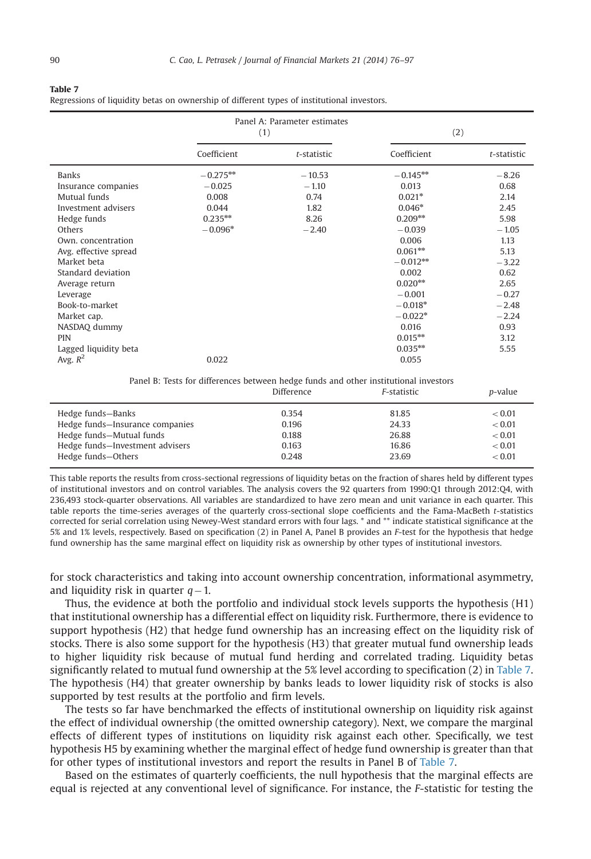|                                                                                                                                                                                                                                                                                      | (1)                                                                  | Panel A: Parameter estimates                           | (2)                                                                                                                                                                                                         |                                                                                                                                                        |
|--------------------------------------------------------------------------------------------------------------------------------------------------------------------------------------------------------------------------------------------------------------------------------------|----------------------------------------------------------------------|--------------------------------------------------------|-------------------------------------------------------------------------------------------------------------------------------------------------------------------------------------------------------------|--------------------------------------------------------------------------------------------------------------------------------------------------------|
|                                                                                                                                                                                                                                                                                      | Coefficient                                                          | t-statistic                                            | Coefficient                                                                                                                                                                                                 | t-statistic                                                                                                                                            |
| <b>Banks</b><br>Insurance companies<br>Mutual funds<br>Investment advisers<br>Hedge funds<br>Others<br>Own. concentration<br>Avg. effective spread<br>Market beta<br>Standard deviation<br>Average return<br>Leverage<br>Book-to-market<br>Market cap.<br>NASDAQ dummy<br><b>PIN</b> | $-0.275***$<br>$-0.025$<br>0.008<br>0.044<br>$0.235***$<br>$-0.096*$ | $-10.53$<br>$-1.10$<br>0.74<br>1.82<br>8.26<br>$-2.40$ | $-0.145***$<br>0.013<br>$0.021*$<br>$0.046*$<br>$0.209**$<br>$-0.039$<br>0.006<br>$0.061***$<br>$-0.012**$<br>0.002<br>$0.020**$<br>$-0.001$<br>$-0.018*$<br>$-0.022*$<br>0.016<br>$0.015***$<br>$0.035***$ | $-8.26$<br>0.68<br>2.14<br>2.45<br>5.98<br>$-1.05$<br>1.13<br>5.13<br>$-3.22$<br>0.62<br>2.65<br>$-0.27$<br>$-2.48$<br>$-2.24$<br>0.93<br>3.12<br>5.55 |
| Lagged liquidity beta<br>Avg. $R^2$                                                                                                                                                                                                                                                  | 0.022                                                                |                                                        | 0.055                                                                                                                                                                                                       |                                                                                                                                                        |

#### <span id="page-14-0"></span>Table 7

| Regressions of liquidity betas on ownership of different types of institutional investors. |  |  |  |
|--------------------------------------------------------------------------------------------|--|--|--|
|--------------------------------------------------------------------------------------------|--|--|--|

Panel B: Tests for differences between hedge funds and other institutional investors

|                                 | <b>Difference</b> | F-statistic | <i>p</i> -value |
|---------------------------------|-------------------|-------------|-----------------|
| Hedge funds-Banks               | 0.354             | 81.85       | < 0.01          |
| Hedge funds-Insurance companies | 0.196             | 24.33       | < 0.01          |
| Hedge funds-Mutual funds        | 0.188             | 26.88       | < 0.01          |
| Hedge funds-Investment advisers | 0.163             | 16.86       | < 0.01          |
| Hedge funds-Others              | 0.248             | 23.69       | < 0.01          |

This table reports the results from cross-sectional regressions of liquidity betas on the fraction of shares held by different types of institutional investors and on control variables. The analysis covers the 92 quarters from 1990:Q1 through 2012:Q4, with 236,493 stock-quarter observations. All variables are standardized to have zero mean and unit variance in each quarter. This table reports the time-series averages of the quarterly cross-sectional slope coefficients and the Fama-MacBeth t-statistics corrected for serial correlation using Newey-West standard errors with four lags. \* and \*\* indicate statistical significance at the 5% and 1% levels, respectively. Based on specification (2) in Panel A, Panel B provides an F-test for the hypothesis that hedge fund ownership has the same marginal effect on liquidity risk as ownership by other types of institutional investors.

for stock characteristics and taking into account ownership concentration, informational asymmetry, and liquidity risk in quarter  $q-1$ .

Thus, the evidence at both the portfolio and individual stock levels supports the hypothesis (H1) that institutional ownership has a differential effect on liquidity risk. Furthermore, there is evidence to support hypothesis (H2) that hedge fund ownership has an increasing effect on the liquidity risk of stocks. There is also some support for the hypothesis (H3) that greater mutual fund ownership leads to higher liquidity risk because of mutual fund herding and correlated trading. Liquidity betas significantly related to mutual fund ownership at the 5% level according to specification (2) in Table 7. The hypothesis (H4) that greater ownership by banks leads to lower liquidity risk of stocks is also supported by test results at the portfolio and firm levels.

The tests so far have benchmarked the effects of institutional ownership on liquidity risk against the effect of individual ownership (the omitted ownership category). Next, we compare the marginal effects of different types of institutions on liquidity risk against each other. Specifically, we test hypothesis H5 by examining whether the marginal effect of hedge fund ownership is greater than that for other types of institutional investors and report the results in Panel B of Table 7.

Based on the estimates of quarterly coefficients, the null hypothesis that the marginal effects are equal is rejected at any conventional level of significance. For instance, the F-statistic for testing the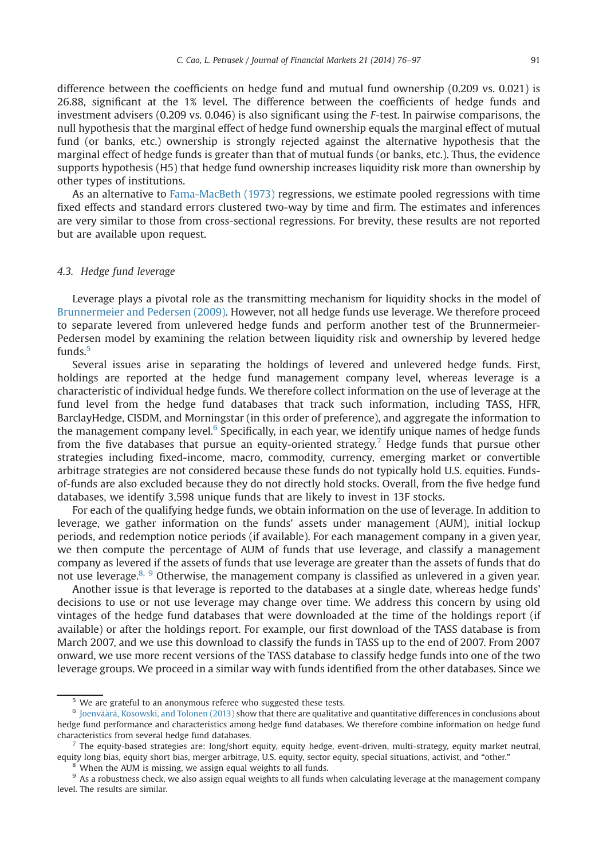difference between the coefficients on hedge fund and mutual fund ownership (0.209 vs. 0.021) is 26.88, significant at the 1% level. The difference between the coefficients of hedge funds and investment advisers (0.209 vs. 0.046) is also significant using the F-test. In pairwise comparisons, the null hypothesis that the marginal effect of hedge fund ownership equals the marginal effect of mutual fund (or banks, etc.) ownership is strongly rejected against the alternative hypothesis that the marginal effect of hedge funds is greater than that of mutual funds (or banks, etc.). Thus, the evidence supports hypothesis (H5) that hedge fund ownership increases liquidity risk more than ownership by other types of institutions.

As an alternative to [Fama-MacBeth \(1973\)](#page-21-0) regressions, we estimate pooled regressions with time fixed effects and standard errors clustered two-way by time and firm. The estimates and inferences are very similar to those from cross-sectional regressions. For brevity, these results are not reported but are available upon request.

## 4.3. Hedge fund leverage

Leverage plays a pivotal role as the transmitting mechanism for liquidity shocks in the model of [Brunnermeier and Pedersen \(2009\).](#page-21-0) However, not all hedge funds use leverage. We therefore proceed to separate levered from unlevered hedge funds and perform another test of the Brunnermeier-Pedersen model by examining the relation between liquidity risk and ownership by levered hedge funds.<sup>5</sup>

Several issues arise in separating the holdings of levered and unlevered hedge funds. First, holdings are reported at the hedge fund management company level, whereas leverage is a characteristic of individual hedge funds. We therefore collect information on the use of leverage at the fund level from the hedge fund databases that track such information, including TASS, HFR, BarclayHedge, CISDM, and Morningstar (in this order of preference), and aggregate the information to the management company level.<sup>6</sup> Specifically, in each year, we identify unique names of hedge funds from the five databases that pursue an equity-oriented strategy.<sup>7</sup> Hedge funds that pursue other strategies including fixed-income, macro, commodity, currency, emerging market or convertible arbitrage strategies are not considered because these funds do not typically hold U.S. equities. Fundsof-funds are also excluded because they do not directly hold stocks. Overall, from the five hedge fund databases, we identify 3,598 unique funds that are likely to invest in 13F stocks.

For each of the qualifying hedge funds, we obtain information on the use of leverage. In addition to leverage, we gather information on the funds' assets under management (AUM), initial lockup periods, and redemption notice periods (if available). For each management company in a given year, we then compute the percentage of AUM of funds that use leverage, and classify a management company as levered if the assets of funds that use leverage are greater than the assets of funds that do not use leverage.<sup>8, 9</sup> Otherwise, the management company is classified as unlevered in a given year.

Another issue is that leverage is reported to the databases at a single date, whereas hedge funds' decisions to use or not use leverage may change over time. We address this concern by using old vintages of the hedge fund databases that were downloaded at the time of the holdings report (if available) or after the holdings report. For example, our first download of the TASS database is from March 2007, and we use this download to classify the funds in TASS up to the end of 2007. From 2007 onward, we use more recent versions of the TASS database to classify hedge funds into one of the two leverage groups. We proceed in a similar way with funds identified from the other databases. Since we

<sup>5</sup> We are grateful to an anonymous referee who suggested these tests.

 $6$  [Joenväärä, Kosowski, and Tolonen \(2013\)](#page-21-0) show that there are qualitative and quantitative differences in conclusions about hedge fund performance and characteristics among hedge fund databases. We therefore combine information on hedge fund characteristics from several hedge fund databases.

 $^7$  The equity-based strategies are: long/short equity, equity hedge, event-driven, multi-strategy, equity market neutral, equity long bias, equity short bias, merger arbitrage, U.S. equity, sector equity, special situations, activist, and "other."

 $8\,$  When the AUM is missing, we assign equal weights to all funds.

<sup>&</sup>lt;sup>9</sup> As a robustness check, we also assign equal weights to all funds when calculating leverage at the management company level. The results are similar.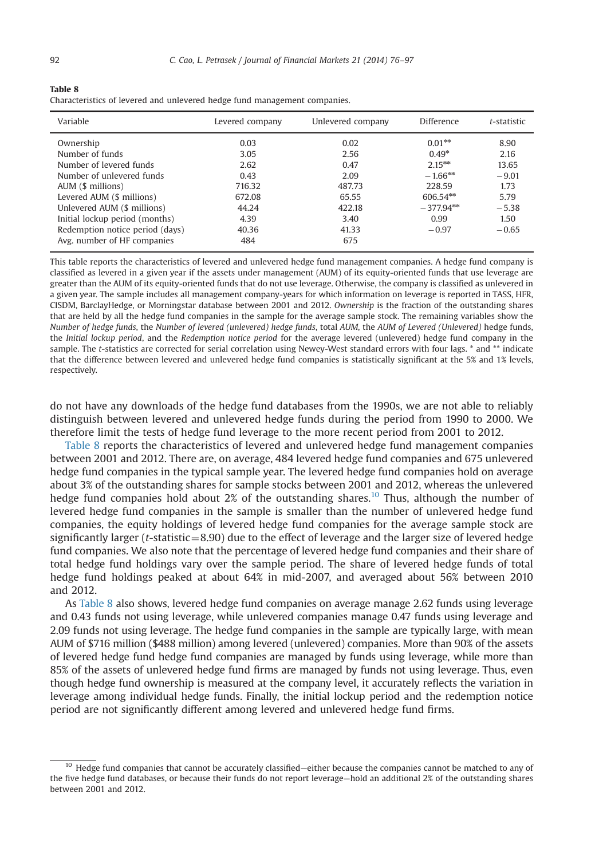| Variable                        | Levered company | Unlevered company | Difference   | t-statistic |
|---------------------------------|-----------------|-------------------|--------------|-------------|
| Ownership                       | 0.03            | 0.02              | $0.01***$    | 8.90        |
| Number of funds                 | 3.05            | 2.56              | $0.49*$      | 2.16        |
| Number of levered funds         | 2.62            | 0.47              | $2.15***$    | 13.65       |
| Number of unlevered funds       | 0.43            | 2.09              | $-1.66***$   | $-9.01$     |
| AUM (\$ millions)               | 716.32          | 487.73            | 228.59       | 1.73        |
| Levered AUM (\$ millions)       | 672.08          | 65.55             | 606.54**     | 5.79        |
| Unlevered AUM (\$ millions)     | 44.24           | 422.18            | $-377.94***$ | $-5.38$     |
| Initial lockup period (months)  | 4.39            | 3.40              | 0.99         | 1.50        |
| Redemption notice period (days) | 40.36           | 41.33             | $-0.97$      | $-0.65$     |
| Avg. number of HF companies     | 484             | 675               |              |             |

| Table 8                                                                   |  |  |
|---------------------------------------------------------------------------|--|--|
| Characteristics of levered and unlevered hedge fund management companies. |  |  |

This table reports the characteristics of levered and unlevered hedge fund management companies. A hedge fund company is classified as levered in a given year if the assets under management (AUM) of its equity-oriented funds that use leverage are greater than the AUM of its equity-oriented funds that do not use leverage. Otherwise, the company is classified as unlevered in a given year. The sample includes all management company-years for which information on leverage is reported in TASS, HFR, CISDM, BarclayHedge, or Morningstar database between 2001 and 2012. Ownership is the fraction of the outstanding shares that are held by all the hedge fund companies in the sample for the average sample stock. The remaining variables show the Number of hedge funds, the Number of levered (unlevered) hedge funds, total AUM, the AUM of Levered (Unlevered) hedge funds, the Initial lockup period, and the Redemption notice period for the average levered (unlevered) hedge fund company in the sample. The t-statistics are corrected for serial correlation using Newey-West standard errors with four lags. \* and \*\* indicate that the difference between levered and unlevered hedge fund companies is statistically significant at the 5% and 1% levels, respectively.

do not have any downloads of the hedge fund databases from the 1990s, we are not able to reliably distinguish between levered and unlevered hedge funds during the period from 1990 to 2000. We therefore limit the tests of hedge fund leverage to the more recent period from 2001 to 2012.

Table 8 reports the characteristics of levered and unlevered hedge fund management companies between 2001 and 2012. There are, on average, 484 levered hedge fund companies and 675 unlevered hedge fund companies in the typical sample year. The levered hedge fund companies hold on average about 3% of the outstanding shares for sample stocks between 2001 and 2012, whereas the unlevered hedge fund companies hold about  $2\%$  of the outstanding shares.<sup>10</sup> Thus, although the number of levered hedge fund companies in the sample is smaller than the number of unlevered hedge fund companies, the equity holdings of levered hedge fund companies for the average sample stock are significantly larger (t-statistic =  $8.90$ ) due to the effect of leverage and the larger size of levered hedge fund companies. We also note that the percentage of levered hedge fund companies and their share of total hedge fund holdings vary over the sample period. The share of levered hedge funds of total hedge fund holdings peaked at about 64% in mid-2007, and averaged about 56% between 2010 and 2012.

As Table 8 also shows, levered hedge fund companies on average manage 2.62 funds using leverage and 0.43 funds not using leverage, while unlevered companies manage 0.47 funds using leverage and 2.09 funds not using leverage. The hedge fund companies in the sample are typically large, with mean AUM of \$716 million (\$488 million) among levered (unlevered) companies. More than 90% of the assets of levered hedge fund hedge fund companies are managed by funds using leverage, while more than 85% of the assets of unlevered hedge fund firms are managed by funds not using leverage. Thus, even though hedge fund ownership is measured at the company level, it accurately reflects the variation in leverage among individual hedge funds. Finally, the initial lockup period and the redemption notice period are not significantly different among levered and unlevered hedge fund firms.

<sup>&</sup>lt;sup>10</sup> Hedge fund companies that cannot be accurately classified—either because the companies cannot be matched to any of the five hedge fund databases, or because their funds do not report leverage—hold an additional 2% of the outstanding shares between 2001 and 2012.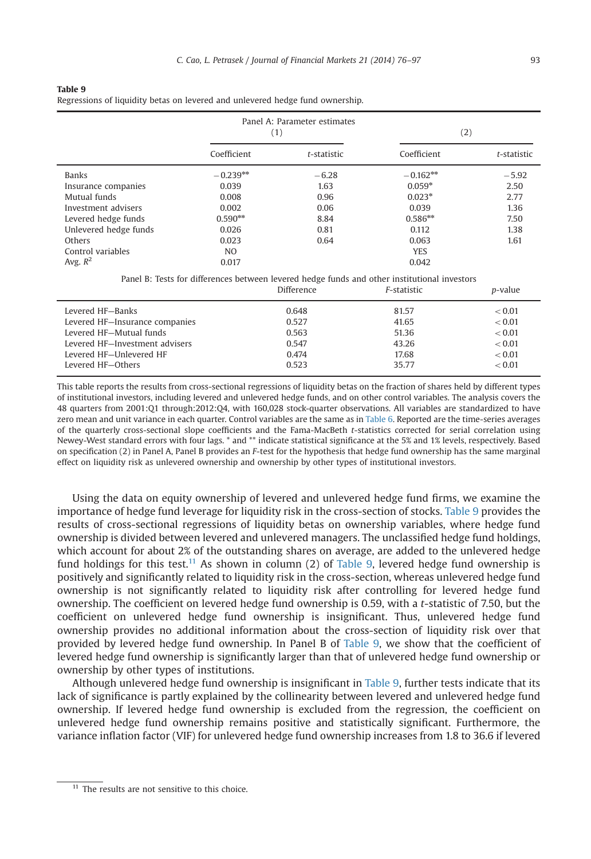<span id="page-17-0"></span>

|  | $\sim$ |
|--|--------|
|--|--------|

Regressions of liquidity betas on levered and unlevered hedge fund ownership.

| Panel A: Parameter estimates<br>(1)                                                          |             | (2)         |                 |  |  |
|----------------------------------------------------------------------------------------------|-------------|-------------|-----------------|--|--|
| Coefficient                                                                                  | t-statistic | Coefficient | t-statistic     |  |  |
| $-0.239**$                                                                                   | $-6.28$     | $-0.162***$ | $-5.92$         |  |  |
| 0.039                                                                                        | 1.63        | $0.059*$    | 2.50            |  |  |
| 0.008                                                                                        | 0.96        | $0.023*$    | 2.77            |  |  |
| 0.002                                                                                        | 0.06        | 0.039       | 1.36            |  |  |
| $0.590**$                                                                                    | 8.84        | $0.586**$   | 7.50            |  |  |
| 0.026                                                                                        | 0.81        | 0.112       | 1.38            |  |  |
| 0.023                                                                                        | 0.64        | 0.063       | 1.61            |  |  |
| N <sub>O</sub>                                                                               |             | <b>YES</b>  |                 |  |  |
| 0.017                                                                                        |             | 0.042       |                 |  |  |
| Panel B: Tests for differences between levered hedge funds and other institutional investors |             |             |                 |  |  |
|                                                                                              |             | F-statistic | <i>p</i> -value |  |  |
|                                                                                              |             | Difference  |                 |  |  |

| Levered HF-Banks               | 0.648 | 81.57 | < 0.01 |
|--------------------------------|-------|-------|--------|
| Levered HF-Insurance companies | 0.527 | 41.65 | < 0.01 |
| Levered HF-Mutual funds        | 0.563 | 51.36 | < 0.01 |
| Levered HF-Investment advisers | 0.547 | 43.26 | < 0.01 |
| Levered HF-Unlevered HF        | 0.474 | 17.68 | < 0.01 |
| Levered HF-Others              | 0.523 | 35.77 | < 0.01 |
|                                |       |       |        |

This table reports the results from cross-sectional regressions of liquidity betas on the fraction of shares held by different types of institutional investors, including levered and unlevered hedge funds, and on other control variables. The analysis covers the 48 quarters from 2001:Q1 through:2012:Q4, with 160,028 stock-quarter observations. All variables are standardized to have zero mean and unit variance in each quarter. Control variables are the same as in [Table 6](#page-13-0). Reported are the time-series averages of the quarterly cross-sectional slope coefficients and the Fama-MacBeth t-statistics corrected for serial correlation using Newey-West standard errors with four lags. \* and \*\* indicate statistical significance at the 5% and 1% levels, respectively. Based on specification (2) in Panel A, Panel B provides an F-test for the hypothesis that hedge fund ownership has the same marginal effect on liquidity risk as unlevered ownership and ownership by other types of institutional investors.

Using the data on equity ownership of levered and unlevered hedge fund firms, we examine the importance of hedge fund leverage for liquidity risk in the cross-section of stocks. Table 9 provides the results of cross-sectional regressions of liquidity betas on ownership variables, where hedge fund ownership is divided between levered and unlevered managers. The unclassified hedge fund holdings, which account for about 2% of the outstanding shares on average, are added to the unlevered hedge fund holdings for this test.<sup>11</sup> As shown in column (2) of Table 9, levered hedge fund ownership is positively and significantly related to liquidity risk in the cross-section, whereas unlevered hedge fund ownership is not significantly related to liquidity risk after controlling for levered hedge fund ownership. The coefficient on levered hedge fund ownership is 0.59, with a t-statistic of 7.50, but the coefficient on unlevered hedge fund ownership is insignificant. Thus, unlevered hedge fund ownership provides no additional information about the cross-section of liquidity risk over that provided by levered hedge fund ownership. In Panel B of Table 9, we show that the coefficient of levered hedge fund ownership is significantly larger than that of unlevered hedge fund ownership or ownership by other types of institutions.

Although unlevered hedge fund ownership is insignificant in Table 9, further tests indicate that its lack of significance is partly explained by the collinearity between levered and unlevered hedge fund ownership. If levered hedge fund ownership is excluded from the regression, the coefficient on unlevered hedge fund ownership remains positive and statistically significant. Furthermore, the variance inflation factor (VIF) for unlevered hedge fund ownership increases from 1.8 to 36.6 if levered

<sup>&</sup>lt;sup>11</sup> The results are not sensitive to this choice.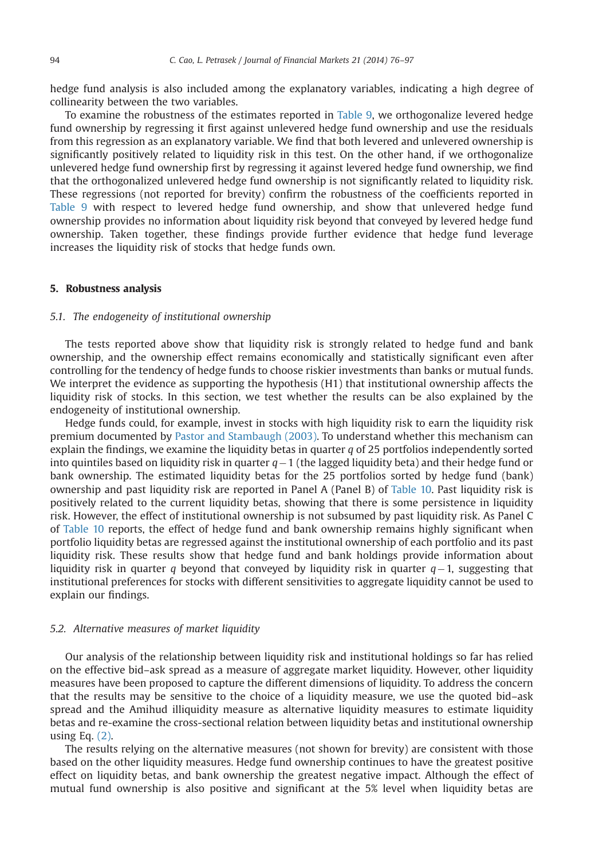<span id="page-18-0"></span>hedge fund analysis is also included among the explanatory variables, indicating a high degree of collinearity between the two variables.

To examine the robustness of the estimates reported in [Table 9,](#page-17-0) we orthogonalize levered hedge fund ownership by regressing it first against unlevered hedge fund ownership and use the residuals from this regression as an explanatory variable. We find that both levered and unlevered ownership is significantly positively related to liquidity risk in this test. On the other hand, if we orthogonalize unlevered hedge fund ownership first by regressing it against levered hedge fund ownership, we find that the orthogonalized unlevered hedge fund ownership is not significantly related to liquidity risk. These regressions (not reported for brevity) confirm the robustness of the coefficients reported in [Table 9](#page-17-0) with respect to levered hedge fund ownership, and show that unlevered hedge fund ownership provides no information about liquidity risk beyond that conveyed by levered hedge fund ownership. Taken together, these findings provide further evidence that hedge fund leverage increases the liquidity risk of stocks that hedge funds own.

#### 5. Robustness analysis

## 5.1. The endogeneity of institutional ownership

The tests reported above show that liquidity risk is strongly related to hedge fund and bank ownership, and the ownership effect remains economically and statistically significant even after controlling for the tendency of hedge funds to choose riskier investments than banks or mutual funds. We interpret the evidence as supporting the hypothesis (H1) that institutional ownership affects the liquidity risk of stocks. In this section, we test whether the results can be also explained by the endogeneity of institutional ownership.

Hedge funds could, for example, invest in stocks with high liquidity risk to earn the liquidity risk premium documented by [Pastor and Stambaugh \(2003\).](#page-21-0) To understand whether this mechanism can explain the findings, we examine the liquidity betas in quarter  $q$  of 25 portfolios independently sorted into quintiles based on liquidity risk in quarter  $q-1$  (the lagged liquidity beta) and their hedge fund or bank ownership. The estimated liquidity betas for the 25 portfolios sorted by hedge fund (bank) ownership and past liquidity risk are reported in Panel A (Panel B) of [Table 10.](#page-19-0) Past liquidity risk is positively related to the current liquidity betas, showing that there is some persistence in liquidity risk. However, the effect of institutional ownership is not subsumed by past liquidity risk. As Panel C of [Table 10](#page-19-0) reports, the effect of hedge fund and bank ownership remains highly significant when portfolio liquidity betas are regressed against the institutional ownership of each portfolio and its past liquidity risk. These results show that hedge fund and bank holdings provide information about liquidity risk in quarter q beyond that conveyed by liquidity risk in quarter  $q-1$ , suggesting that institutional preferences for stocks with different sensitivities to aggregate liquidity cannot be used to explain our findings.

#### 5.2. Alternative measures of market liquidity

Our analysis of the relationship between liquidity risk and institutional holdings so far has relied on the effective bid–ask spread as a measure of aggregate market liquidity. However, other liquidity measures have been proposed to capture the different dimensions of liquidity. To address the concern that the results may be sensitive to the choice of a liquidity measure, we use the quoted bid–ask spread and the Amihud illiquidity measure as alternative liquidity measures to estimate liquidity betas and re-examine the cross-sectional relation between liquidity betas and institutional ownership using Eq.  $(2)$ .

The results relying on the alternative measures (not shown for brevity) are consistent with those based on the other liquidity measures. Hedge fund ownership continues to have the greatest positive effect on liquidity betas, and bank ownership the greatest negative impact. Although the effect of mutual fund ownership is also positive and significant at the 5% level when liquidity betas are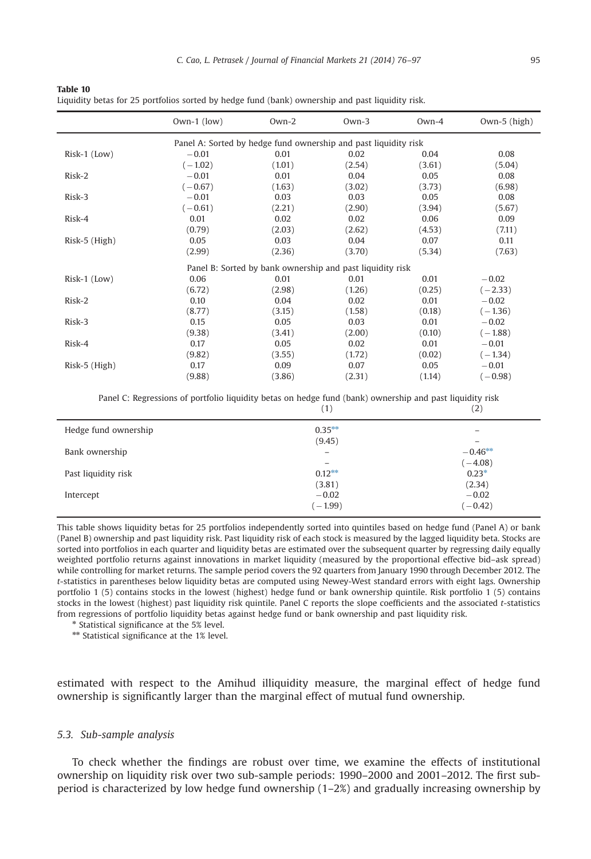|                                                                                                                             | Own-1 $(low)$                                                                                            | $Own-2$ | $Own-3$                                                         | $Own-4$ | Own-5 (high) |  |
|-----------------------------------------------------------------------------------------------------------------------------|----------------------------------------------------------------------------------------------------------|---------|-----------------------------------------------------------------|---------|--------------|--|
|                                                                                                                             |                                                                                                          |         | Panel A: Sorted by hedge fund ownership and past liquidity risk |         |              |  |
| Risk-1 (Low)                                                                                                                | $-0.01$                                                                                                  | 0.01    | 0.02                                                            | 0.04    | 0.08         |  |
|                                                                                                                             | $(-1.02)$                                                                                                | (1.01)  | (2.54)                                                          | (3.61)  | (5.04)       |  |
| Risk-2                                                                                                                      | $-0.01$                                                                                                  | 0.01    | 0.04                                                            | 0.05    | 0.08         |  |
|                                                                                                                             | $(-0.67)$                                                                                                | (1.63)  | (3.02)                                                          | (3.73)  | (6.98)       |  |
| Risk-3                                                                                                                      | $-0.01$                                                                                                  | 0.03    | 0.03                                                            | 0.05    | 0.08         |  |
|                                                                                                                             | $(-0.61)$                                                                                                | (2.21)  | (2.90)                                                          | (3.94)  | (5.67)       |  |
| Risk-4                                                                                                                      | 0.01                                                                                                     | 0.02    | 0.02                                                            | 0.06    | 0.09         |  |
|                                                                                                                             | (0.79)                                                                                                   | (2.03)  | (2.62)                                                          | (4.53)  | (7.11)       |  |
| Risk-5 (High)                                                                                                               | 0.05                                                                                                     | 0.03    | 0.04                                                            | 0.07    | 0.11         |  |
|                                                                                                                             | (2.99)                                                                                                   | (2.36)  | (3.70)                                                          | (5.34)  | (7.63)       |  |
|                                                                                                                             |                                                                                                          |         | Panel B: Sorted by bank ownership and past liquidity risk       |         |              |  |
| Risk-1 (Low)                                                                                                                | 0.06                                                                                                     | 0.01    | 0.01                                                            | 0.01    | $-0.02$      |  |
|                                                                                                                             | (6.72)                                                                                                   | (2.98)  | (1.26)                                                          | (0.25)  | $(-2.33)$    |  |
| Risk-2                                                                                                                      | 0.10                                                                                                     | 0.04    | 0.02                                                            | 0.01    | $-0.02$      |  |
|                                                                                                                             | (8.77)                                                                                                   | (3.15)  | (1.58)                                                          | (0.18)  | $(-1.36)$    |  |
| Risk-3                                                                                                                      | 0.15                                                                                                     | 0.05    | 0.03                                                            | 0.01    | $-0.02$      |  |
|                                                                                                                             | (9.38)                                                                                                   | (3.41)  | (2.00)                                                          | (0.10)  | $(-1.88)$    |  |
| Risk-4                                                                                                                      | 0.17                                                                                                     | 0.05    | 0.02                                                            | 0.01    | $-0.01$      |  |
|                                                                                                                             | (9.82)                                                                                                   | (3.55)  | (1.72)                                                          | (0.02)  | $(-1.34)$    |  |
| Risk-5 (High)                                                                                                               | 0.17                                                                                                     | 0.09    | 0.07                                                            | 0.05    | $-0.01$      |  |
|                                                                                                                             | (9.88)                                                                                                   | (3.86)  | (2.31)                                                          | (1.14)  | $(-0.98)$    |  |
|                                                                                                                             | Panel C: Regressions of portfolio liquidity betas on hedge fund (bank) ownership and past liquidity risk |         |                                                                 |         |              |  |
|                                                                                                                             |                                                                                                          |         | (1)                                                             |         | (2)          |  |
| Hedge fund ownership                                                                                                        |                                                                                                          |         | $0.35***$                                                       |         |              |  |
|                                                                                                                             |                                                                                                          | (9.45)  |                                                                 |         |              |  |
| Bank ownership                                                                                                              |                                                                                                          |         |                                                                 |         | $-0.46**$    |  |
|                                                                                                                             |                                                                                                          |         |                                                                 |         | $(-4.08)$    |  |
| Past liquidity risk                                                                                                         |                                                                                                          |         | $0.12***$<br>$0.23*$                                            |         |              |  |
|                                                                                                                             |                                                                                                          | (3.81)  |                                                                 |         | (2.34)       |  |
| Intercept                                                                                                                   |                                                                                                          |         | $-0.02$                                                         |         | $-0.02$      |  |
|                                                                                                                             |                                                                                                          |         | $(-1.99)$                                                       |         | $(-0.42)$    |  |
| This table shows liquidity betas for 25 portfolios independently sorted into quintiles based on hedge fund (Panel A) or ban |                                                                                                          |         |                                                                 |         |              |  |

<span id="page-19-0"></span>Table 10 Liquidity betas for 25 portfolios sorted by hedge fund (bank) ownership and past liquidity risk.

orted into quintiles based on hedge fund (Panel A) or bank (Panel B) ownership and past liquidity risk. Past liquidity risk of each stock is measured by the lagged liquidity beta. Stocks are sorted into portfolios in each quarter and liquidity betas are estimated over the subsequent quarter by regressing daily equally weighted portfolio returns against innovations in market liquidity (measured by the proportional effective bid–ask spread) while controlling for market returns. The sample period covers the 92 quarters from January 1990 through December 2012. The t-statistics in parentheses below liquidity betas are computed using Newey-West standard errors with eight lags. Ownership portfolio 1 (5) contains stocks in the lowest (highest) hedge fund or bank ownership quintile. Risk portfolio 1 (5) contains stocks in the lowest (highest) past liquidity risk quintile. Panel C reports the slope coefficients and the associated t-statistics from regressions of portfolio liquidity betas against hedge fund or bank ownership and past liquidity risk.

\* Statistical significance at the 5% level.

\*\* Statistical significance at the 1% level.

estimated with respect to the Amihud illiquidity measure, the marginal effect of hedge fund ownership is significantly larger than the marginal effect of mutual fund ownership.

## 5.3. Sub-sample analysis

To check whether the findings are robust over time, we examine the effects of institutional ownership on liquidity risk over two sub-sample periods: 1990–2000 and 2001–2012. The first subperiod is characterized by low hedge fund ownership (1–2%) and gradually increasing ownership by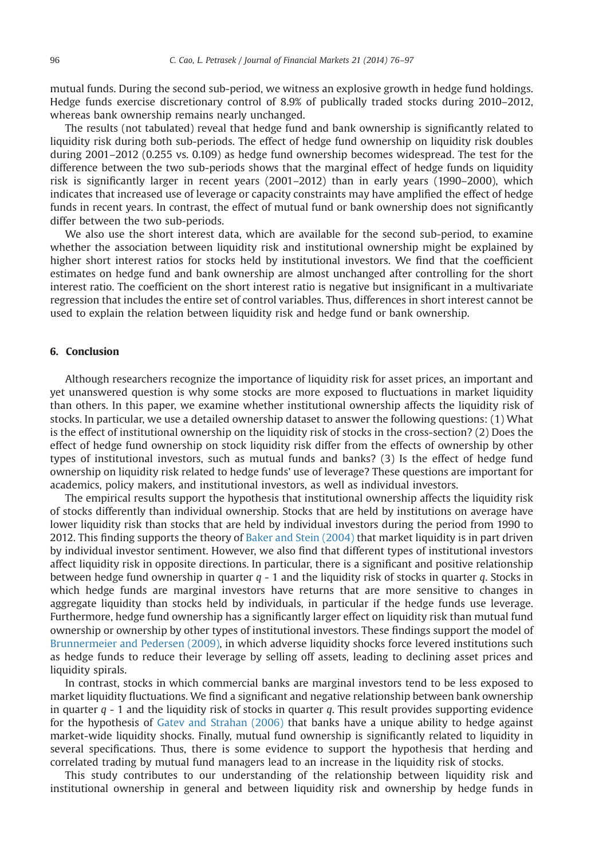<span id="page-20-0"></span>mutual funds. During the second sub-period, we witness an explosive growth in hedge fund holdings. Hedge funds exercise discretionary control of 8.9% of publically traded stocks during 2010–2012, whereas bank ownership remains nearly unchanged.

The results (not tabulated) reveal that hedge fund and bank ownership is significantly related to liquidity risk during both sub-periods. The effect of hedge fund ownership on liquidity risk doubles during 2001–2012 (0.255 vs. 0.109) as hedge fund ownership becomes widespread. The test for the difference between the two sub-periods shows that the marginal effect of hedge funds on liquidity risk is significantly larger in recent years (2001–2012) than in early years (1990–2000), which indicates that increased use of leverage or capacity constraints may have amplified the effect of hedge funds in recent years. In contrast, the effect of mutual fund or bank ownership does not significantly differ between the two sub-periods.

We also use the short interest data, which are available for the second sub-period, to examine whether the association between liquidity risk and institutional ownership might be explained by higher short interest ratios for stocks held by institutional investors. We find that the coefficient estimates on hedge fund and bank ownership are almost unchanged after controlling for the short interest ratio. The coefficient on the short interest ratio is negative but insignificant in a multivariate regression that includes the entire set of control variables. Thus, differences in short interest cannot be used to explain the relation between liquidity risk and hedge fund or bank ownership.

## 6. Conclusion

Although researchers recognize the importance of liquidity risk for asset prices, an important and yet unanswered question is why some stocks are more exposed to fluctuations in market liquidity than others. In this paper, we examine whether institutional ownership affects the liquidity risk of stocks. In particular, we use a detailed ownership dataset to answer the following questions: (1) What is the effect of institutional ownership on the liquidity risk of stocks in the cross-section? (2) Does the effect of hedge fund ownership on stock liquidity risk differ from the effects of ownership by other types of institutional investors, such as mutual funds and banks? (3) Is the effect of hedge fund ownership on liquidity risk related to hedge funds' use of leverage? These questions are important for academics, policy makers, and institutional investors, as well as individual investors.

The empirical results support the hypothesis that institutional ownership affects the liquidity risk of stocks differently than individual ownership. Stocks that are held by institutions on average have lower liquidity risk than stocks that are held by individual investors during the period from 1990 to 2012. This finding supports the theory of [Baker and Stein \(2004\)](#page-21-0) that market liquidity is in part driven by individual investor sentiment. However, we also find that different types of institutional investors affect liquidity risk in opposite directions. In particular, there is a significant and positive relationship between hedge fund ownership in quarter  $q - 1$  and the liquidity risk of stocks in quarter q. Stocks in which hedge funds are marginal investors have returns that are more sensitive to changes in aggregate liquidity than stocks held by individuals, in particular if the hedge funds use leverage. Furthermore, hedge fund ownership has a significantly larger effect on liquidity risk than mutual fund ownership or ownership by other types of institutional investors. These findings support the model of [Brunnermeier and Pedersen \(2009\),](#page-21-0) in which adverse liquidity shocks force levered institutions such as hedge funds to reduce their leverage by selling off assets, leading to declining asset prices and liquidity spirals.

In contrast, stocks in which commercial banks are marginal investors tend to be less exposed to market liquidity fluctuations. We find a significant and negative relationship between bank ownership in quarter  $q - 1$  and the liquidity risk of stocks in quarter q. This result provides supporting evidence for the hypothesis of [Gatev and Strahan \(2006\)](#page-21-0) that banks have a unique ability to hedge against market-wide liquidity shocks. Finally, mutual fund ownership is significantly related to liquidity in several specifications. Thus, there is some evidence to support the hypothesis that herding and correlated trading by mutual fund managers lead to an increase in the liquidity risk of stocks.

This study contributes to our understanding of the relationship between liquidity risk and institutional ownership in general and between liquidity risk and ownership by hedge funds in